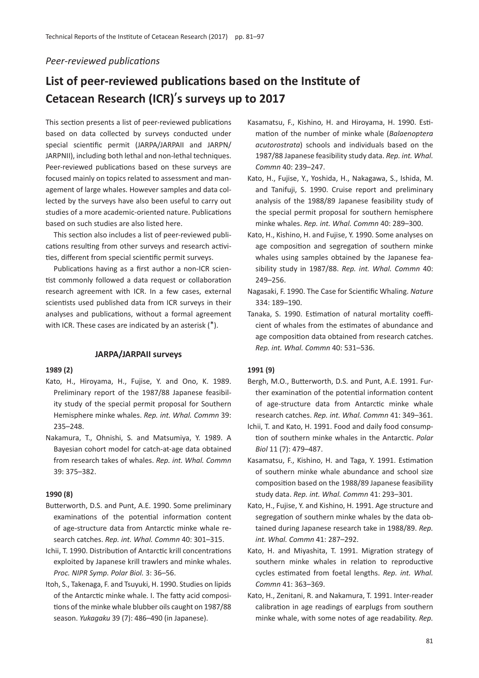# *Peer-reviewed publications*

# **List of peer-reviewed publications based on the Institute of Cetacean Research (ICR)**'**s surveys up to 2017**

This section presents a list of peer-reviewed publications based on data collected by surveys conducted under special scientific permit (JARPA/JARPAII and JARPN/ JARPNII), including both lethal and non-lethal techniques. Peer-reviewed publications based on these surveys are focused mainly on topics related to assessment and management of large whales. However samples and data collected by the surveys have also been useful to carry out studies of a more academic-oriented nature. Publications based on such studies are also listed here.

This section also includes a list of peer-reviewed publications resulting from other surveys and research activities, different from special scientific permit surveys.

Publications having as a first author a non-ICR scientist commonly followed a data request or collaboration research agreement with ICR. In a few cases, external scientists used published data from ICR surveys in their analyses and publications, without a formal agreement with ICR. These cases are indicated by an asterisk (\*).

#### **JARPA/JARPAII surveys**

#### **1989 (2)**

- Kato, H., Hiroyama, H., Fujise, Y. and Ono, K. 1989. Preliminary report of the 1987/88 Japanese feasibility study of the special permit proposal for Southern Hemisphere minke whales. *Rep. int. Whal. Commn* 39: 235–248.
- Nakamura, T., Ohnishi, S. and Matsumiya, Y. 1989. A Bayesian cohort model for catch-at-age data obtained from research takes of whales. *Rep. int. Whal. Commn* 39: 375–382.

#### **1990 (8)**

- Butterworth, D.S. and Punt, A.E. 1990. Some preliminary examinations of the potential information content of age-structure data from Antarctic minke whale research catches. *Rep. int. Whal. Commn* 40: 301–315.
- Ichii, T. 1990. Distribution of Antarctic krill concentrations exploited by Japanese krill trawlers and minke whales. *Proc. NIPR Symp. Polar Biol.* 3: 36–56.
- Itoh, S., Takenaga, F. and Tsuyuki, H. 1990. Studies on lipids of the Antarctic minke whale. I. The fatty acid compositions of the minke whale blubber oils caught on 1987/88 season. *Yukagaku* 39 (7): 486–490 (in Japanese).
- Kasamatsu, F., Kishino, H. and Hiroyama, H. 1990. Estimation of the number of minke whale (*Balaenoptera acutorostrata*) schools and individuals based on the 1987/88 Japanese feasibility study data. *Rep. int. Whal. Commn* 40: 239–247.
- Kato, H., Fujise, Y., Yoshida, H., Nakagawa, S., Ishida, M. and Tanifuji, S. 1990. Cruise report and preliminary analysis of the 1988/89 Japanese feasibility study of the special permit proposal for southern hemisphere minke whales. *Rep. int. Whal. Commn* 40: 289–300.
- Kato, H., Kishino, H. and Fujise, Y. 1990. Some analyses on age composition and segregation of southern minke whales using samples obtained by the Japanese feasibility study in 1987/88. *Rep. int. Whal. Commn* 40: 249–256.
- Nagasaki, F. 1990. The Case for Scientific Whaling. *Nature* 334: 189–190.
- Tanaka, S. 1990. Estimation of natural mortality coefficient of whales from the estimates of abundance and age composition data obtained from research catches. *Rep. int. Whal. Commn* 40: 531–536.

#### **1991 (9)**

- Bergh, M.O., Butterworth, D.S. and Punt, A.E. 1991. Further examination of the potential information content of age-structure data from Antarctic minke whale research catches. *Rep. int. Whal. Commn* 41: 349–361.
- Ichii, T. and Kato, H. 1991. Food and daily food consumption of southern minke whales in the Antarctic. *Polar Biol* 11 (7): 479–487.
- Kasamatsu, F., Kishino, H. and Taga, Y. 1991. Estimation of southern minke whale abundance and school size composition based on the 1988/89 Japanese feasibility study data. *Rep. int. Whal. Commn* 41: 293–301.
- Kato, H., Fujise, Y. and Kishino, H. 1991. Age structure and segregation of southern minke whales by the data obtained during Japanese research take in 1988/89. *Rep. int. Whal. Commn* 41: 287–292.
- Kato, H. and Miyashita, T. 1991. Migration strategy of southern minke whales in relation to reproductive cycles estimated from foetal lengths. *Rep. int. Whal. Commn* 41: 363–369.
- Kato, H., Zenitani, R. and Nakamura, T. 1991. Inter-reader calibration in age readings of earplugs from southern minke whale, with some notes of age readability. *Rep.*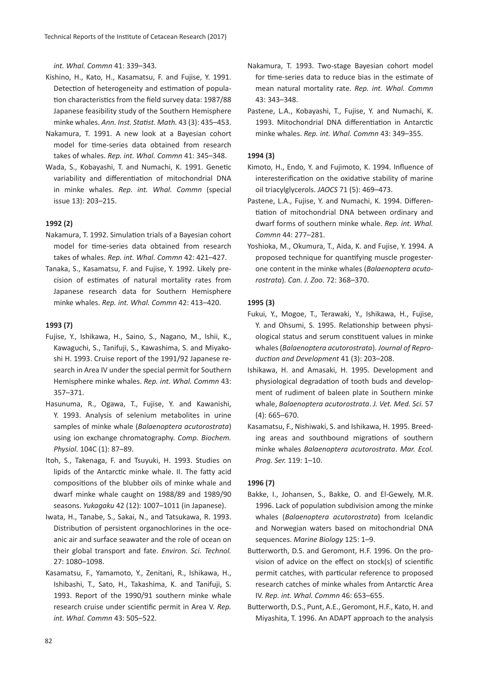*int. Whal. Commn* 41: 339–343.

- Kishino, H., Kato, H., Kasamatsu, F. and Fujise, Y. 1991. Detection of heterogeneity and estimation of population characteristics from the field survey data: 1987/88 Japanese feasibility study of the Southern Hemisphere minke whales. *Ann. Inst. Statist. Math.* 43 (3): 435–453.
- Nakamura, T. 1991. A new look at a Bayesian cohort model for time-series data obtained from research takes of whales. *Rep. int. Whal. Commn* 41: 345–348.
- Wada, S., Kobayashi, T. and Numachi, K. 1991. Genetic variability and differentiation of mitochondrial DNA in minke whales. *Rep. int. Whal. Commn* (special issue 13): 203–215.

## **1992 (2)**

- Nakamura, T. 1992. Simulation trials of a Bayesian cohort model for time-series data obtained from research takes of whales. *Rep. int. Whal. Commn* 42: 421–427.
- Tanaka, S., Kasamatsu, F. and Fujise, Y. 1992. Likely precision of estimates of natural mortality rates from Japanese research data for Southern Hemisphere minke whales. *Rep. int. Whal. Commn* 42: 413–420.

#### **1993 (7)**

- Fujise, Y., Ishikawa, H., Saino, S., Nagano, M., Ishii, K., Kawaguchi, S., Tanifuji, S., Kawashima, S. and Miyakoshi H. 1993. Cruise report of the 1991/92 Japanese research in Area IV under the special permit for Southern Hemisphere minke whales. *Rep. int. Whal. Commn* 43: 357–371.
- Hasunuma, R., Ogawa, T., Fujise, Y. and Kawanishi, Y. 1993. Analysis of selenium metabolites in urine samples of minke whale (*Balaenoptera acutorostrata*) using ion exchange chromatography. *Comp. Biochem. Physiol.* 104C (1): 87–89.
- Itoh, S., Takenaga, F. and Tsuyuki, H. 1993. Studies on lipids of the Antarctic minke whale. II. The fatty acid compositions of the blubber oils of minke whale and dwarf minke whale caught on 1988/89 and 1989/90 seasons. *Yukagaku* 42 (12): 1007–1011 (in Japanese).
- Iwata, H., Tanabe, S., Sakai, N., and Tatsukawa, R. 1993. Distribution of persistent organochlorines in the oceanic air and surface seawater and the role of ocean on their global transport and fate. *Environ. Sci. Technol.* 27: 1080–1098.
- Kasamatsu, F., Yamamoto, Y., Zenitani, R., Ishikawa, H., Ishibashi, T., Sato, H., Takashima, K. and Tanifuji, S. 1993. Report of the 1990/91 southern minke whale research cruise under scientific permit in Area V. *Rep. int. Whal. Commn* 43: 505–522.
- Nakamura, T. 1993. Two-stage Bayesian cohort model for time-series data to reduce bias in the estimate of mean natural mortality rate. *Rep. int. Whal. Commn* 43: 343–348.
- Pastene, L.A., Kobayashi, T., Fujise, Y. and Numachi, K. 1993. Mitochondrial DNA differentiation in Antarctic minke whales. *Rep. int. Whal. Commn* 43: 349–355.

#### **1994 (3)**

- Kimoto, H., Endo, Y. and Fujimoto, K. 1994. Influence of interesterification on the oxidative stability of marine oil triacylglycerols. *JAOCS* 71 (5): 469–473.
- Pastene, L.A., Fujise, Y. and Numachi, K. 1994. Differentiation of mitochondrial DNA between ordinary and dwarf forms of southern minke whale. *Rep. int. Whal. Commn* 44: 277–281.
- Yoshioka, M., Okumura, T., Aida, K. and Fujise, Y. 1994. A proposed technique for quantifying muscle progesterone content in the minke whales (*Balaenoptera acutorostrata*). *Can. J. Zoo.* 72: 368–370.

#### **1995 (3)**

- Fukui, Y., Mogoe, T., Terawaki, Y., Ishikawa, H., Fujise, Y. and Ohsumi, S. 1995. Relationship between physiological status and serum constituent values in minke whales (*Balaenoptera acutorostrata*). *Journal of Reproduction and Development* 41 (3): 203–208.
- Ishikawa, H. and Amasaki, H. 1995. Development and physiological degradation of tooth buds and development of rudiment of baleen plate in Southern minke whale, *Balaenoptera acutorostrata*. *J. Vet. Med. Sci.* 57 (4): 665–670.
- Kasamatsu, F., Nishiwaki, S. and Ishikawa, H. 1995. Breeding areas and southbound migrations of southern minke whales *Balaenoptera acutorostrata*. *Mar. Ecol. Prog. Ser.* 119: 1–10.

#### **1996 (7)**

- Bakke, I., Johansen, S., Bakke, O. and El-Gewely, M.R. 1996. Lack of population subdivision among the minke whales (*Balaenoptera acutorostrata*) from Icelandic and Norwegian waters based on mitochondrial DNA sequences. *Marine Biology* 125: 1–9.
- Butterworth, D.S. and Geromont, H.F. 1996. On the provision of advice on the effect on stock(s) of scientific permit catches, with particular reference to proposed research catches of minke whales from Antarctic Area IV. *Rep. int. Whal. Commn* 46: 653–655.
- Butterworth, D.S., Punt, A.E., Geromont, H.F., Kato, H. and Miyashita, T. 1996. An ADAPT approach to the analysis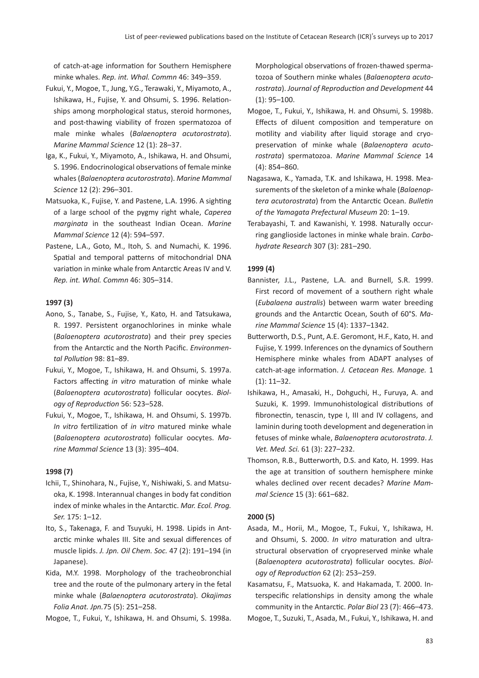of catch-at-age information for Southern Hemisphere minke whales. *Rep. int. Whal. Commn* 46: 349–359.

- Fukui, Y., Mogoe, T., Jung, Y.G., Terawaki, Y., Miyamoto, A., Ishikawa, H., Fujise, Y. and Ohsumi, S. 1996. Relationships among morphological status, steroid hormones, and post-thawing viability of frozen spermatozoa of male minke whales (*Balaenoptera acutorostrata*). *Marine Mammal Science* 12 (1): 28–37.
- Iga, K., Fukui, Y., Miyamoto, A., Ishikawa, H. and Ohsumi, S. 1996. Endocrinological observations of female minke whales (*Balaenoptera acutorostrata*). *Marine Mammal Science* 12 (2): 296–301.
- Matsuoka, K., Fujise, Y. and Pastene, L.A. 1996. A sighting of a large school of the pygmy right whale, *Caperea marginata* in the southeast Indian Ocean. *Marine Mammal Science* 12 (4): 594–597.
- Pastene, L.A., Goto, M., Itoh, S. and Numachi, K. 1996. Spatial and temporal patterns of mitochondrial DNA variation in minke whale from Antarctic Areas IV and V. *Rep. int. Whal. Commn* 46: 305–314.

## **1997 (3)**

- Aono, S., Tanabe, S., Fujise, Y., Kato, H. and Tatsukawa, R. 1997. Persistent organochlorines in minke whale (*Balaenoptera acutorostrata*) and their prey species from the Antarctic and the North Pacific. *Environmental Pollution* 98: 81–89.
- Fukui, Y., Mogoe, T., Ishikawa, H. and Ohsumi, S. 1997a. Factors affecting *in vitro* maturation of minke whale (*Balaenoptera acutorostrata*) follicular oocytes. *Biology of Reproduction* 56: 523–528.
- Fukui, Y., Mogoe, T., Ishikawa, H. and Ohsumi, S. 1997b. *In vitro* fertilization of *in vitro* matured minke whale (*Balaenoptera acutorostrata*) follicular oocytes. *Marine Mammal Science* 13 (3): 395–404.

#### **1998 (7)**

- Ichii, T., Shinohara, N., Fujise, Y., Nishiwaki, S. and Matsuoka, K. 1998. Interannual changes in body fat condition index of minke whales in the Antarctic. *Mar. Ecol. Prog. Ser.* 175: 1–12.
- Ito, S., Takenaga, F. and Tsuyuki, H. 1998. Lipids in Antarctic minke whales III. Site and sexual differences of muscle lipids. *J. Jpn. Oil Chem. Soc.* 47 (2): 191–194 (in Japanese).
- Kida, M.Y. 1998. Morphology of the tracheobronchial tree and the route of the pulmonary artery in the fetal minke whale (*Balaenoptera acutorostrata*). *Okajimas Folia Anat. Jpn.*75 (5): 251–258.
- Mogoe, T., Fukui, Y., Ishikawa, H. and Ohsumi, S. 1998a.

Morphological observations of frozen-thawed spermatozoa of Southern minke whales (*Balaenoptera acutorostrata*). *Journal of Reproduction and Development* 44 (1): 95–100.

- Mogoe, T., Fukui, Y., Ishikawa, H. and Ohsumi, S. 1998b. Effects of diluent composition and temperature on motility and viability after liquid storage and cryopreservation of minke whale (*Balaenoptera acutorostrata*) spermatozoa. *Marine Mammal Science* 14 (4): 854–860.
- Nagasawa, K., Yamada, T.K. and Ishikawa, H. 1998. Measurements of the skeleton of a minke whale (*Balaenoptera acutorostrata*) from the Antarctic Ocean. *Bulletin of the Yamagata Prefectural Museum* 20: 1–19.
- Terabayashi, T. and Kawanishi, Y. 1998. Naturally occurring ganglioside lactones in minke whale brain. *Carbohydrate Research* 307 (3): 281–290.

#### **1999 (4)**

- Bannister, J.L., Pastene, L.A. and Burnell, S.R. 1999. First record of movement of a southern right whale (*Eubalaena australis*) between warm water breeding grounds and the Antarctic Ocean, South of 60°S. *Marine Mammal Science* 15 (4): 1337–1342.
- Butterworth, D.S., Punt, A.E. Geromont, H.F., Kato, H. and Fujise, Y. 1999. Inferences on the dynamics of Southern Hemisphere minke whales from ADAPT analyses of catch-at-age information. *J. Cetacean Res. Manage.* 1 (1): 11–32.
- Ishikawa, H., Amasaki, H., Dohguchi, H., Furuya, A. and Suzuki, K. 1999. Immunohistological distributions of fibronectin, tenascin, type I, III and IV collagens, and laminin during tooth development and degeneration in fetuses of minke whale, *Balaenoptera acutorostrata*. *J. Vet. Med. Sci.* 61 (3): 227–232.
- Thomson, R.B., Butterworth, D.S. and Kato, H. 1999. Has the age at transition of southern hemisphere minke whales declined over recent decades? *Marine Mammal Science* 15 (3): 661–682.

#### **2000 (5)**

Asada, M., Horii, M., Mogoe, T., Fukui, Y., Ishikawa, H. and Ohsumi, S. 2000. *In vitro* maturation and ultrastructural observation of cryopreserved minke whale (*Balaenoptera acutorostrata*) follicular oocytes. *Biology of Reproduction* 62 (2): 253–259.

Kasamatsu, F., Matsuoka, K. and Hakamada, T. 2000. Interspecific relationships in density among the whale community in the Antarctic. *Polar Biol* 23 (7): 466–473.

Mogoe, T., Suzuki, T., Asada, M., Fukui, Y., Ishikawa, H. and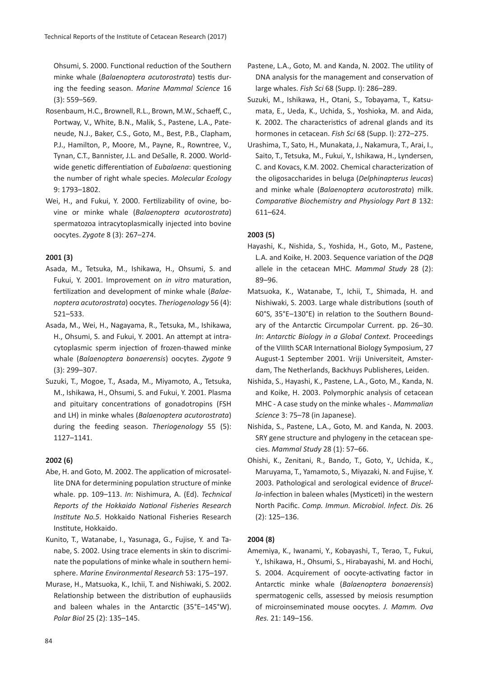Ohsumi, S. 2000. Functional reduction of the Southern minke whale (*Balaenoptera acutorostrata*) testis during the feeding season. *Marine Mammal Science* 16 (3): 559–569.

- Rosenbaum, H.C., Brownell, R.L., Brown, M.W., Schaeff, C., Portway, V., White, B.N., Malik, S., Pastene, L.A., Pateneude, N.J., Baker, C.S., Goto, M., Best, P.B., Clapham, P.J., Hamilton, P., Moore, M., Payne, R., Rowntree, V., Tynan, C.T., Bannister, J.L. and DeSalle, R. 2000. Worldwide genetic differentiation of *Eubalaena*: questioning the number of right whale species. *Molecular Ecology* 9: 1793–1802.
- Wei, H., and Fukui, Y. 2000. Fertilizability of ovine, bovine or minke whale (*Balaenoptera acutorostrata*) spermatozoa intracytoplasmically injected into bovine oocytes. *Zygote* 8 (3): 267–274.

## **2001 (3)**

- Asada, M., Tetsuka, M., Ishikawa, H., Ohsumi, S. and Fukui, Y. 2001. Improvement on *in vitro* maturation, fertilization and development of minke whale (*Balaenoptera acutorostrata*) oocytes. *Theriogenology* 56 (4): 521–533.
- Asada, M., Wei, H., Nagayama, R., Tetsuka, M., Ishikawa, H., Ohsumi, S. and Fukui, Y. 2001. An attempt at intracytoplasmic sperm injection of frozen-thawed minke whale (*Balaenoptera bonaerensis*) oocytes. *Zygote* 9 (3): 299–307.
- Suzuki, T., Mogoe, T., Asada, M., Miyamoto, A., Tetsuka, M., Ishikawa, H., Ohsumi, S. and Fukui, Y. 2001. Plasma and pituitary concentrations of gonadotropins (FSH and LH) in minke whales (*Balaenoptera acutorostrata*) during the feeding season. *Theriogenology* 55 (5): 1127–1141.

## **2002 (6)**

- Abe, H. and Goto, M. 2002. The application of microsatellite DNA for determining population structure of minke whale. pp. 109–113. *In*: Nishimura, A. (Ed). *Technical Reports of the Hokkaido National Fisheries Research Institute No.5*. Hokkaido National Fisheries Research Institute, Hokkaido.
- Kunito, T., Watanabe, I., Yasunaga, G., Fujise, Y. and Tanabe, S. 2002. Using trace elements in skin to discriminate the populations of minke whale in southern hemisphere. *Marine Environmental Research* 53: 175–197.
- Murase, H., Matsuoka, K., Ichii, T. and Nishiwaki, S. 2002. Relationship between the distribution of euphausiids and baleen whales in the Antarctic (35°E–145°W). *Polar Biol* 25 (2): 135–145.
- Pastene, L.A., Goto, M. and Kanda, N. 2002. The utility of DNA analysis for the management and conservation of large whales. *Fish Sci* 68 (Supp. I): 286–289.
- Suzuki, M., Ishikawa, H., Otani, S., Tobayama, T., Katsumata, E., Ueda, K., Uchida, S., Yoshioka, M. and Aida, K. 2002. The characteristics of adrenal glands and its hormones in cetacean. *Fish Sci* 68 (Supp. I): 272–275.
- Urashima, T., Sato, H., Munakata, J., Nakamura, T., Arai, I., Saito, T., Tetsuka, M., Fukui, Y., Ishikawa, H., Lyndersen, C. and Kovacs, K.M. 2002. Chemical characterization of the oligosaccharides in beluga (*Delphinapterus leucas*) and minke whale (*Balaenoptera acutorostrata*) milk. *Comparative Biochemistry and Physiology Part B* 132: 611–624.

## **2003 (5)**

- Hayashi, K., Nishida, S., Yoshida, H., Goto, M., Pastene, L.A. and Koike, H. 2003. Sequence variation of the *DQB* allele in the cetacean MHC. *Mammal Study* 28 (2): 89–96.
- Matsuoka, K., Watanabe, T., Ichii, T., Shimada, H. and Nishiwaki, S. 2003. Large whale distributions (south of 60°S, 35°E–130°E) in relation to the Southern Boundary of the Antarctic Circumpolar Current. pp. 26–30. *In*: *Antarctic Biology in a Global Context.* Proceedings of the VIIIth SCAR International Biology Symposium, 27 August-1 September 2001. Vriji Universiteit, Amsterdam, The Netherlands, Backhuys Publisheres, Leiden.
- Nishida, S., Hayashi, K., Pastene, L.A., Goto, M., Kanda, N. and Koike, H. 2003. Polymorphic analysis of cetacean MHC - A case study on the minke whales -. *Mammalian Science* 3: 75–78 (in Japanese).
- Nishida, S., Pastene, L.A., Goto, M. and Kanda, N. 2003. SRY gene structure and phylogeny in the cetacean species. *Mammal Study* 28 (1): 57–66.
- Ohishi, K., Zenitani, R., Bando, T., Goto, Y., Uchida, K., Maruyama, T., Yamamoto, S., Miyazaki, N. and Fujise, Y. 2003. Pathological and serological evidence of *Brucella*-infection in baleen whales (Mysticeti) in the western North Pacific. *Comp. Immun. Microbiol. Infect. Dis.* 26 (2): 125–136.

## **2004 (8)**

Amemiya, K., Iwanami, Y., Kobayashi, T., Terao, T., Fukui, Y., Ishikawa, H., Ohsumi, S., Hirabayashi, M. and Hochi, S. 2004. Acquirement of oocyte-activating factor in Antarctic minke whale (*Balaenoptera bonaerensis*) spermatogenic cells, assessed by meiosis resumption of microinseminated mouse oocytes. *J. Mamm. Ova Res.* 21: 149–156.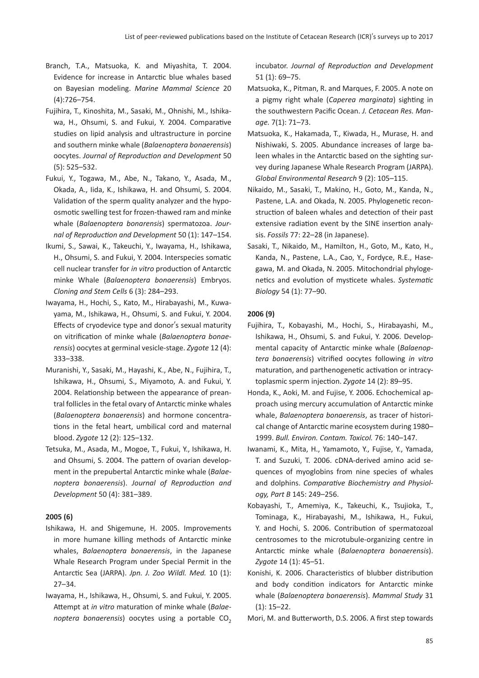- Branch, T.A., Matsuoka, K. and Miyashita, T. 2004. Evidence for increase in Antarctic blue whales based on Bayesian modeling. *Marine Mammal Science* 20 (4):726–754.
- Fujihira, T., Kinoshita, M., Sasaki, M., Ohnishi, M., Ishikawa, H., Ohsumi, S. and Fukui, Y. 2004. Comparative studies on lipid analysis and ultrastructure in porcine and southern minke whale (*Balaenoptera bonaerensis*) oocytes. *Journal of Reproduction and Development* 50 (5): 525–532.
- Fukui, Y., Togawa, M., Abe, N., Takano, Y., Asada, M., Okada, A., Iida, K., Ishikawa, H. and Ohsumi, S. 2004. Validation of the sperm quality analyzer and the hypoosmotic swelling test for frozen-thawed ram and minke whale (*Balaenoptera bonarensis*) spermatozoa. *Journal of Reproduction and Development* 50 (1): 147–154.
- Ikumi, S., Sawai, K., Takeuchi, Y., Iwayama, H., Ishikawa, H., Ohsumi, S. and Fukui, Y. 2004. Interspecies somatic cell nuclear transfer for *in vitro* production of Antarctic minke Whale (*Balaenoptera bonaerensis*) Embryos. *Cloning and Stem Cells* 6 (3): 284–293.
- Iwayama, H., Hochi, S., Kato, M., Hirabayashi, M., Kuwayama, M., Ishikawa, H., Ohsumi, S. and Fukui, Y. 2004. Effects of cryodevice type and donor's sexual maturity on vitrification of minke whale (*Balaenoptera bonaerensis*) oocytes at germinal vesicle-stage. *Zygote* 12 (4): 333–338.
- Muranishi, Y., Sasaki, M., Hayashi, K., Abe, N., Fujihira, T., Ishikawa, H., Ohsumi, S., Miyamoto, A. and Fukui, Y. 2004. Relationship between the appearance of preantral follicles in the fetal ovary of Antarctic minke whales (*Balaenoptera bonaerensis*) and hormone concentrations in the fetal heart, umbilical cord and maternal blood. *Zygote* 12 (2): 125–132.
- Tetsuka, M., Asada, M., Mogoe, T., Fukui, Y., Ishikawa, H. and Ohsumi, S. 2004. The pattern of ovarian development in the prepubertal Antarctic minke whale (*Balaenoptera bonaerensis*). *Journal of Reproduction and Development* 50 (4): 381–389.

## **2005 (6)**

- Ishikawa, H. and Shigemune, H. 2005. Improvements in more humane killing methods of Antarctic minke whales, *Balaenoptera bonaerensis*, in the Japanese Whale Research Program under Special Permit in the Antarctic Sea (JARPA). *Jpn. J. Zoo Wildl. Med.* 10 (1): 27–34.
- Iwayama, H., Ishikawa, H., Ohsumi, S. and Fukui, Y. 2005. Attempt at *in vitro* maturation of minke whale (*Balaenoptera bonaerensis*) oocytes using a portable CO<sub>2</sub>

incubator. *Journal of Reproduction and Development* 51 (1): 69–75.

- Matsuoka, K., Pitman, R. and Marques, F. 2005. A note on a pigmy right whale (*Caperea marginata*) sighting in the southwestern Pacific Ocean. *J. Cetacean Res. Manage.* 7(1): 71–73.
- Matsuoka, K., Hakamada, T., Kiwada, H., Murase, H. and Nishiwaki, S. 2005. Abundance increases of large baleen whales in the Antarctic based on the sighting survey during Japanese Whale Research Program (JARPA). *Global Environmental Research* 9 (2): 105–115.
- Nikaido, M., Sasaki, T., Makino, H., Goto, M., Kanda, N., Pastene, L.A. and Okada, N. 2005. Phylogenetic reconstruction of baleen whales and detection of their past extensive radiation event by the SINE insertion analysis. *Fossils* 77: 22–28 (in Japanese).
- Sasaki, T., Nikaido, M., Hamilton, H., Goto, M., Kato, H., Kanda, N., Pastene, L.A., Cao, Y., Fordyce, R.E., Hasegawa, M. and Okada, N. 2005. Mitochondrial phylogenetics and evolution of mysticete whales. *Systematic Biology* 54 (1): 77–90.

#### **2006 (9)**

- Fujihira, T., Kobayashi, M., Hochi, S., Hirabayashi, M., Ishikawa, H., Ohsumi, S. and Fukui, Y. 2006. Developmental capacity of Antarctic minke whale (*Balaenoptera bonaerensis*) vitrified oocytes following *in vitro* maturation, and parthenogenetic activation or intracytoplasmic sperm injection. *Zygote* 14 (2): 89–95.
- Honda, K., Aoki, M. and Fujise, Y. 2006. Echochemical approach using mercury accumulation of Antarctic minke whale, *Balaenoptera bonaerensis*, as tracer of historical change of Antarctic marine ecosystem during 1980– 1999. *Bull. Environ. Contam. Toxicol.* 76: 140–147.
- Iwanami, K., Mita, H., Yamamoto, Y., Fujise, Y., Yamada, T. and Suzuki, T. 2006. cDNA-derived amino acid sequences of myoglobins from nine species of whales and dolphins. *Comparative Biochemistry and Physiology, Part B* 145: 249–256.
- Kobayashi, T., Amemiya, K., Takeuchi, K., Tsujioka, T., Tominaga, K., Hirabayashi, M., Ishikawa, H., Fukui, Y. and Hochi, S. 2006. Contribution of spermatozoal centrosomes to the microtubule-organizing centre in Antarctic minke whale (*Balaenoptera bonaerensis*). *Zygote* 14 (1): 45–51.
- Konishi, K. 2006. Characteristics of blubber distribution and body condition indicators for Antarctic minke whale (*Balaenoptera bonaerensis*). *Mammal Study* 31 (1): 15–22.
- Mori, M. and Butterworth, D.S. 2006. A first step towards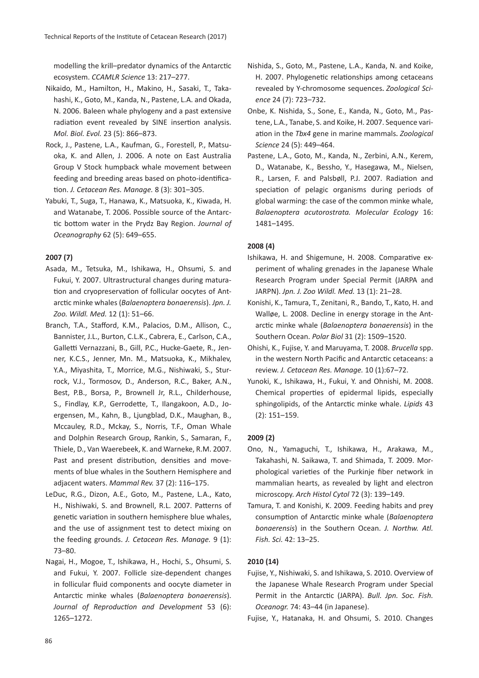modelling the krill–predator dynamics of the Antarctic ecosystem. *CCAMLR Science* 13: 217–277.

- Nikaido, M., Hamilton, H., Makino, H., Sasaki, T., Takahashi, K., Goto, M., Kanda, N., Pastene, L.A. and Okada, N. 2006. Baleen whale phylogeny and a past extensive radiation event revealed by SINE insertion analysis. *Mol. Biol. Evol.* 23 (5): 866–873.
- Rock, J., Pastene, L.A., Kaufman, G., Forestell, P., Matsuoka, K. and Allen, J. 2006. A note on East Australia Group V Stock humpback whale movement between feeding and breeding areas based on photo-identification. *J. Cetacean Res. Manage.* 8 (3): 301–305.
- Yabuki, T., Suga, T., Hanawa, K., Matsuoka, K., Kiwada, H. and Watanabe, T. 2006. Possible source of the Antarctic bottom water in the Prydz Bay Region. *Journal of Oceanography* 62 (5): 649–655.

## **2007 (7)**

- Asada, M., Tetsuka, M., Ishikawa, H., Ohsumi, S. and Fukui, Y. 2007. Ultrastructural changes during maturation and cryopreservation of follicular oocytes of Antarctic minke whales (*Balaenoptera bonaerensis*). *Jpn. J. Zoo. Wildl. Med.* 12 (1): 51–66.
- Branch, T.A., Stafford, K.M., Palacios, D.M., Allison, C., Bannister, J.L., Burton, C.L.K., Cabrera, E., Carlson, C.A., Galletti Vernazzani, B., Gill, P.C., Hucke-Gaete, R., Jenner, K.C.S., Jenner, Mn. M., Matsuoka, K., Mikhalev, Y.A., Miyashita, T., Morrice, M.G., Nishiwaki, S., Sturrock, V.J., Tormosov, D., Anderson, R.C., Baker, A.N., Best, P.B., Borsa, P., Brownell Jr, R.L., Childerhouse, S., Findlay, K.P., Gerrodette, T., Ilangakoon, A.D., Joergensen, M., Kahn, B., Ljungblad, D.K., Maughan, B., Mccauley, R.D., Mckay, S., Norris, T.F., Oman Whale and Dolphin Research Group, Rankin, S., Samaran, F., Thiele, D., Van Waerebeek, K. and Warneke, R.M. 2007. Past and present distribution, densities and movements of blue whales in the Southern Hemisphere and adjacent waters. *Mammal Rev.* 37 (2): 116–175.
- LeDuc, R.G., Dizon, A.E., Goto, M., Pastene, L.A., Kato, H., Nishiwaki, S. and Brownell, R.L. 2007. Patterns of genetic variation in southern hemisphere blue whales, and the use of assignment test to detect mixing on the feeding grounds. *J. Cetacean Res. Manage.* 9 (1): 73–80.
- Nagai, H., Mogoe, T., Ishikawa, H., Hochi, S., Ohsumi, S. and Fukui, Y. 2007. Follicle size-dependent changes in follicular fluid components and oocyte diameter in Antarctic minke whales (*Balaenoptera bonaerensis*). *Journal of Reproduction and Development* 53 (6): 1265–1272.
- Nishida, S., Goto, M., Pastene, L.A., Kanda, N. and Koike, H. 2007. Phylogenetic relationships among cetaceans revealed by Y-chromosome sequences.*Zoological Science* 24 (7): 723–732.
- Onbe, K. Nishida, S., Sone, E., Kanda, N., Goto, M., Pastene, L.A., Tanabe, S. and Koike, H. 2007. Sequence variation in the *Tbx4* gene in marine mammals.*Zoological Science* 24 (5): 449–464.
- Pastene, L.A., Goto, M., Kanda, N., Zerbini, A.N., Kerem, D., Watanabe, K., Bessho, Y., Hasegawa, M., Nielsen, R., Larsen, F. and Palsbøll, P.J. 2007. Radiation and speciation of pelagic organisms during periods of global warming: the case of the common minke whale, *Balaenoptera acutorostrata. Molecular Ecology* 16: 1481–1495.

## **2008 (4)**

- Ishikawa, H. and Shigemune, H. 2008. Comparative experiment of whaling grenades in the Japanese Whale Research Program under Special Permit (JARPA and JARPN). *Jpn. J. Zoo Wildl. Med.* 13 (1): 21–28.
- Konishi, K., Tamura, T., Zenitani, R., Bando, T., Kato, H. and Walløe, L. 2008. Decline in energy storage in the Antarctic minke whale (*Balaenoptera bonaerensis*) in the Southern Ocean. *Polar Biol* 31 (2): 1509–1520.
- Ohishi, K., Fujise, Y. and Maruyama, T. 2008. *Brucella* spp. in the western North Pacific and Antarctic cetaceans: a review. *J. Cetacean Res. Manage.* 10 (1):67–72.
- Yunoki, K., Ishikawa, H., Fukui, Y. and Ohnishi, M. 2008. Chemical properties of epidermal lipids, especially sphingolipids, of the Antarctic minke whale. *Lipids* 43 (2): 151–159.

## **2009 (2)**

- Ono, N., Yamaguchi, T., Ishikawa, H., Arakawa, M., Takahashi, N. Saikawa, T. and Shimada, T. 2009. Morphological varieties of the Purkinje fiber network in mammalian hearts, as revealed by light and electron microscopy. *Arch Histol Cytol* 72 (3): 139–149.
- Tamura, T. and Konishi, K. 2009. Feeding habits and prey consumption of Antarctic minke whale (*Balaenoptera bonaerensis*) in the Southern Ocean. *J. Northw. Atl. Fish. Sci.* 42: 13–25.

## **2010 (14)**

- Fujise, Y., Nishiwaki, S. and Ishikawa, S. 2010. Overview of the Japanese Whale Research Program under Special Permit in the Antarctic (JARPA). *Bull. Jpn. Soc. Fish. Oceanogr.* 74: 43–44 (in Japanese).
- Fujise, Y., Hatanaka, H. and Ohsumi, S. 2010. Changes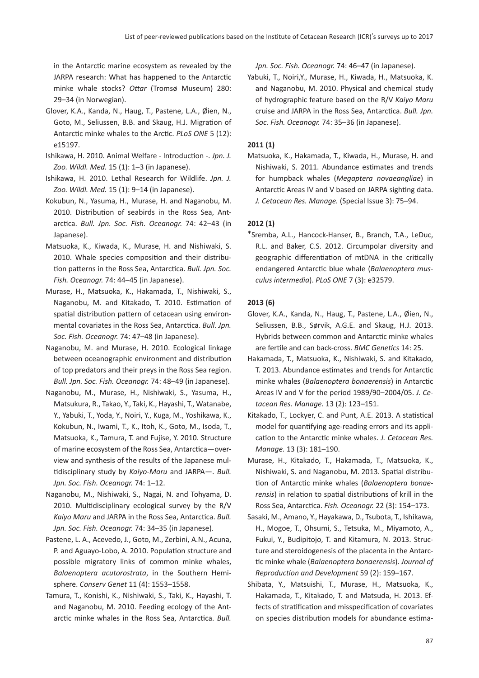in the Antarctic marine ecosystem as revealed by the JARPA research: What has happened to the Antarctic minke whale stocks? *Ottar* (Tromsø Museum) 280: 29–34 (in Norwegian).

- Glover, K.A., Kanda, N., Haug, T., Pastene, L.A., Øien, N., Goto, M., Seliussen, B.B. and Skaug, H.J. Migration of Antarctic minke whales to the Arctic. *PLoS ONE* 5 (12): e15197.
- Ishikawa, H. 2010. Animal Welfare Introduction -. *Jpn. J. Zoo. Wildl. Med.* 15 (1): 1–3 (in Japanese).
- Ishikawa, H. 2010. Lethal Research for Wildlife. *Jpn. J. Zoo. Wildl. Med.* 15 (1): 9–14 (in Japanese).
- Kokubun, N., Yasuma, H., Murase, H. and Naganobu, M. 2010. Distribution of seabirds in the Ross Sea, Antarctica. *Bull. Jpn. Soc. Fish. Oceanogr.* 74: 42–43 (in Japanese).
- Matsuoka, K., Kiwada, K., Murase, H. and Nishiwaki, S. 2010. Whale species composition and their distribution patterns in the Ross Sea, Antarctica. *Bull. Jpn. Soc. Fish. Oceanogr.* 74: 44–45 (in Japanese).
- Murase, H., Matsuoka, K., Hakamada, T., Nishiwaki, S., Naganobu, M. and Kitakado, T. 2010. Estimation of spatial distribution pattern of cetacean using environmental covariates in the Ross Sea, Antarctica. *Bull. Jpn. Soc. Fish. Oceanogr.* 74: 47–48 (in Japanese).
- Naganobu, M. and Murase, H. 2010. Ecological linkage between oceanographic environment and distribution of top predators and their preys in the Ross Sea region. *Bull. Jpn. Soc. Fish. Oceanogr.* 74: 48–49 (in Japanese).
- Naganobu, M., Murase, H., Nishiwaki, S., Yasuma, H., Matsukura, R., Takao, Y., Taki, K., Hayashi, T., Watanabe, Y., Yabuki, T., Yoda, Y., Noiri, Y., Kuga, M., Yoshikawa, K., Kokubun, N., Iwami, T., K., Itoh, K., Goto, M., Isoda, T., Matsuoka, K., Tamura, T. and Fujise, Y. 2010. Structure of marine ecosystem of the Ross Sea, Antarctica—overview and synthesis of the results of the Japanese multidisciplinary study by *Kaiyo-Maru* and JARPA—. *Bull. Jpn. Soc. Fish. Oceanogr.* 74: 1–12.
- Naganobu, M., Nishiwaki, S., Nagai, N. and Tohyama, D. 2010. Multidisciplinary ecological survey by the R/V *Kaiyo Maru* and JARPA in the Ross Sea, Antarctica. *Bull. Jpn. Soc. Fish. Oceanogr.* 74: 34–35 (in Japanese).
- Pastene, L. A., Acevedo, J., Goto, M., Zerbini, A.N., Acuna, P. and Aguayo-Lobo, A. 2010. Population structure and possible migratory links of common minke whales, *Balaenoptera acutorostrata*, in the Southern Hemisphere. *Conserv Genet* 11 (4): 1553–1558.
- Tamura, T., Konishi, K., Nishiwaki, S., Taki, K., Hayashi, T. and Naganobu, M. 2010. Feeding ecology of the Antarctic minke whales in the Ross Sea, Antarctica. *Bull.*

*Jpn. Soc. Fish. Oceanogr.* 74: 46–47 (in Japanese).

Yabuki, T., Noiri,Y., Murase, H., Kiwada, H., Matsuoka, K. and Naganobu, M. 2010. Physical and chemical study of hydrographic feature based on the R/V *Kaiyo Maru* cruise and JARPA in the Ross Sea, Antarctica. *Bull. Jpn. Soc. Fish. Oceanogr.* 74: 35–36 (in Japanese).

## **2011 (1)**

Matsuoka, K., Hakamada, T., Kiwada, H., Murase, H. and Nishiwaki, S. 2011. Abundance estimates and trends for humpback whales (*Megaptera novaeangliae*) in Antarctic Areas IV and V based on JARPA sighting data. *J. Cetacean Res. Manage.* (Special Issue 3): 75–94.

## **2012 (1)**

\*Sremba, A.L., Hancock-Hanser, B., Branch, T.A., LeDuc, R.L. and Baker, C.S. 2012. Circumpolar diversity and geographic differentiation of mtDNA in the critically endangered Antarctic blue whale (*Balaenoptera musculus intermedia*). *PLoS ONE* 7 (3): e32579.

#### **2013 (6)**

- Glover, K.A., Kanda, N., Haug, T., Pastene, L.A., Øien, N., Seliussen, B.B., Sørvik, A.G.E. and Skaug, H.J. 2013. Hybrids between common and Antarctic minke whales are fertile and can back-cross. *BMC Genetics* 14: 25.
- Hakamada, T., Matsuoka, K., Nishiwaki, S. and Kitakado, T. 2013. Abundance estimates and trends for Antarctic minke whales (*Balaenoptera bonaerensis*) in Antarctic Areas IV and V for the period 1989/90–2004/05. *J. Cetacean Res. Manage.* 13 (2): 123–151.
- Kitakado, T., Lockyer, C. and Punt, A.E. 2013. A statistical model for quantifying age-reading errors and its application to the Antarctic minke whales. *J. Cetacean Res. Manage.* 13 (3): 181–190.
- Murase, H., Kitakado, T., Hakamada, T., Matsuoka, K., Nishiwaki, S. and Naganobu, M. 2013. Spatial distribution of Antarctic minke whales (*Balaenoptera bonaerensis*) in relation to spatial distributions of krill in the Ross Sea, Antarctica. *Fish. Oceanogr.* 22 (3): 154–173.
- Sasaki, M., Amano, Y., Hayakawa, D., Tsubota, T., Ishikawa, H., Mogoe, T., Ohsumi, S., Tetsuka, M., Miyamoto, A., Fukui, Y., Budipitojo, T. and Kitamura, N. 2013. Structure and steroidogenesis of the placenta in the Antarctic minke whale (*Balaenoptera bonaerensis*). *Journal of Reproduction and Development* 59 (2): 159–167.
- Shibata, Y., Matsuishi, T., Murase, H., Matsuoka, K., Hakamada, T., Kitakado, T. and Matsuda, H. 2013. Effects of stratification and misspecification of covariates on species distribution models for abundance estima-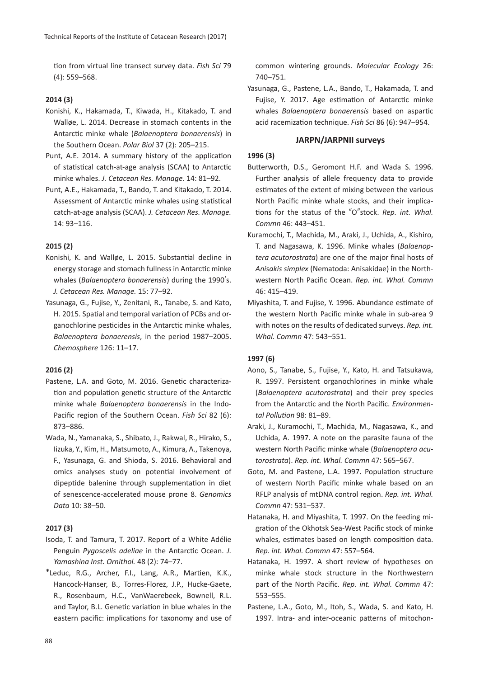tion from virtual line transect survey data. *Fish Sci* 79 (4): 559–568.

## **2014 (3)**

- Konishi, K., Hakamada, T., Kiwada, H., Kitakado, T. and Walløe, L. 2014. Decrease in stomach contents in the Antarctic minke whale (*Balaenoptera bonaerensis*) in the Southern Ocean. *Polar Biol* 37 (2): 205–215.
- Punt, A.E. 2014. A summary history of the application of statistical catch-at-age analysis (SCAA) to Antarctic minke whales. *J. Cetacean Res. Manage.* 14: 81–92.
- Punt, A.E., Hakamada, T., Bando, T. and Kitakado, T. 2014. Assessment of Antarctic minke whales using statistical catch-at-age analysis (SCAA). *J. Cetacean Res. Manage.* 14: 93–116.

## **2015 (2)**

- Konishi, K. and Walløe, L. 2015. Substantial decline in energy storage and stomach fullness in Antarctic minke whales (*Balaenoptera bonaerensis*) during the 1990's. *J. Cetacean Res. Manage.* 15: 77–92.
- Yasunaga, G., Fujise, Y., Zenitani, R., Tanabe, S. and Kato, H. 2015. Spatial and temporal variation of PCBs and organochlorine pesticides in the Antarctic minke whales, *Balaenoptera bonaerensis*, in the period 1987–2005. *Chemosphere* 126: 11–17.

## **2016 (2)**

- Pastene, L.A. and Goto, M. 2016. Genetic characterization and population genetic structure of the Antarctic minke whale *Balaenoptera bonaerensis* in the Indo-Pacific region of the Southern Ocean. *Fish Sci* 82 (6): 873–886.
- Wada, N., Yamanaka, S., Shibato, J., Rakwal, R., Hirako, S., Iizuka, Y., Kim, H., Matsumoto, A., Kimura, A., Takenoya, F., Yasunaga, G. and Shioda, S. 2016. Behavioral and omics analyses study on potential involvement of dipeptide balenine through supplementation in diet of senescence-accelerated mouse prone 8. *Genomics Data* 10: 38–50.

## **2017 (3)**

- Isoda, T. and Tamura, T. 2017. Report of a White Adélie Penguin *Pygoscelis adeliae* in the Antarctic Ocean. *J. Yamashina Inst. Ornithol.* 48 (2): 74–77.
- \*Leduc, R.G., Archer, F.I., Lang, A.R., Martien, K.K., Hancock-Hanser, B., Torres-Florez, J.P., Hucke-Gaete, R., Rosenbaum, H.C., VanWaerebeek, Bownell, R.L. and Taylor, B.L. Genetic variation in blue whales in the eastern pacific: implications for taxonomy and use of

common wintering grounds. *Molecular Ecology* 26: 740–751.

Yasunaga, G., Pastene, L.A., Bando, T., Hakamada, T. and Fujise, Y. 2017. Age estimation of Antarctic minke whales *Balaenoptera bonaerensis* based on aspartic acid racemization technique. *Fish Sci* 86 (6): 947–954.

## **JARPN/JARPNII surveys**

## **1996 (3)**

- Butterworth, D.S., Geromont H.F. and Wada S. 1996. Further analysis of allele frequency data to provide estimates of the extent of mixing between the various North Pacific minke whale stocks, and their implications for the status of the "O"stock. *Rep. int. Whal. Commn* 46: 443–451.
- Kuramochi, T., Machida, M., Araki, J., Uchida, A., Kishiro, T. and Nagasawa, K. 1996. Minke whales (*Balaenoptera acutorostrata*) are one of the major final hosts of *Anisakis simplex* (Nematoda: Anisakidae) in the Northwestern North Pacific Ocean. *Rep. int. Whal. Commn* 46: 415–419.
- Miyashita, T. and Fujise, Y. 1996. Abundance estimate of the western North Pacific minke whale in sub-area 9 with notes on the results of dedicated surveys. *Rep. int. Whal. Commn* 47: 543–551.

# **1997 (6)**

- Aono, S., Tanabe, S., Fujise, Y., Kato, H. and Tatsukawa, R. 1997. Persistent organochlorines in minke whale (*Balaenoptera acutorostrata*) and their prey species from the Antarctic and the North Pacific. *Environmental Pollution* 98: 81–89.
- Araki, J., Kuramochi, T., Machida, M., Nagasawa, K., and Uchida, A. 1997. A note on the parasite fauna of the western North Pacific minke whale (*Balaenoptera acutorostrata*). *Rep. int. Whal. Commn* 47: 565–567.
- Goto, M. and Pastene, L.A. 1997. Population structure of western North Pacific minke whale based on an RFLP analysis of mtDNA control region. *Rep. int. Whal. Commn* 47: 531–537.
- Hatanaka, H. and Miyashita, T. 1997. On the feeding migration of the Okhotsk Sea-West Pacific stock of minke whales, estimates based on length composition data. *Rep. int. Whal. Commn* 47: 557–564.
- Hatanaka, H. 1997. A short review of hypotheses on minke whale stock structure in the Northwestern part of the North Pacific. *Rep. int. Whal. Commn* 47: 553–555.
- Pastene, L.A., Goto, M., Itoh, S., Wada, S. and Kato, H. 1997. Intra- and inter-oceanic patterns of mitochon-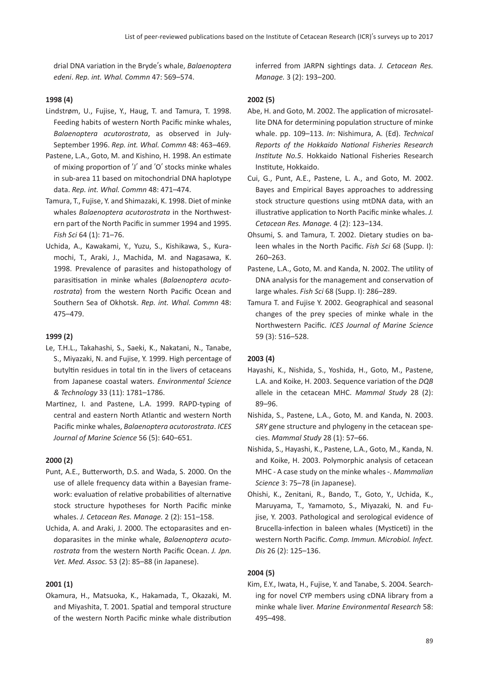drial DNA variation in the Bryde's whale, *Balaenoptera edeni*. *Rep. int. Whal. Commn* 47: 569–574.

## **1998 (4)**

- Lindstrøm, U., Fujise, Y., Haug, T. and Tamura, T. 1998. Feeding habits of western North Pacific minke whales, *Balaenoptera acutorostrata*, as observed in July-September 1996. *Rep. int. Whal. Commn* 48: 463–469.
- Pastene, L.A., Goto, M. and Kishino, H. 1998. An estimate of mixing proportion of ʻJ' and ʻO' stocks minke whales in sub-area 11 based on mitochondrial DNA haplotype data. *Rep. int. Whal. Commn* 48: 471–474.
- Tamura, T., Fujise, Y. and Shimazaki, K. 1998. Diet of minke whales *Balaenoptera acutorostrata* in the Northwestern part of the North Pacific in summer 1994 and 1995. *Fish Sci* 64 (1): 71–76.
- Uchida, A., Kawakami, Y., Yuzu, S., Kishikawa, S., Kuramochi, T., Araki, J., Machida, M. and Nagasawa, K. 1998. Prevalence of parasites and histopathology of parasitisation in minke whales (*Balaenoptera acutorostrata*) from the western North Pacific Ocean and Southern Sea of Okhotsk. *Rep. int. Whal. Commn* 48: 475–479.

#### **1999 (2)**

- Le, T.H.L., Takahashi, S., Saeki, K., Nakatani, N., Tanabe, S., Miyazaki, N. and Fujise, Y. 1999. High percentage of butyltin residues in total tin in the livers of cetaceans from Japanese coastal waters. *Environmental Science & Technology* 33 (11): 1781–1786.
- Martinez, I. and Pastene, L.A. 1999. RAPD-typing of central and eastern North Atlantic and western North Pacific minke whales, *Balaenoptera acutorostrata*. *ICES Journal of Marine Science* 56 (5): 640–651.

#### **2000 (2)**

- Punt, A.E., Butterworth, D.S. and Wada, S. 2000. On the use of allele frequency data within a Bayesian framework: evaluation of relative probabilities of alternative stock structure hypotheses for North Pacific minke whales. *J. Cetacean Res. Manage.* 2 (2): 151–158.
- Uchida, A. and Araki, J. 2000. The ectoparasites and endoparasites in the minke whale, *Balaenoptera acutorostrata* from the western North Pacific Ocean. *J. Jpn. Vet. Med. Assoc.* 53 (2): 85–88 (in Japanese).

#### **2001 (1)**

Okamura, H., Matsuoka, K., Hakamada, T., Okazaki, M. and Miyashita, T. 2001. Spatial and temporal structure of the western North Pacific minke whale distribution inferred from JARPN sightings data. *J. Cetacean Res. Manage.* 3 (2): 193–200.

#### **2002 (5)**

- Abe, H. and Goto, M. 2002. The application of microsatellite DNA for determining population structure of minke whale. pp. 109–113. *In*: Nishimura, A. (Ed). *Technical Reports of the Hokkaido National Fisheries Research Institute No.5*. Hokkaido National Fisheries Research Institute, Hokkaido.
- Cui, G., Punt, A.E., Pastene, L. A., and Goto, M. 2002. Bayes and Empirical Bayes approaches to addressing stock structure questions using mtDNA data, with an illustrative application to North Pacific minke whales. *J. Cetacean Res. Manage.* 4 (2): 123–134.
- Ohsumi, S. and Tamura, T. 2002. Dietary studies on baleen whales in the North Pacific. *Fish Sci* 68 (Supp. I): 260–263.
- Pastene, L.A., Goto, M. and Kanda, N. 2002. The utility of DNA analysis for the management and conservation of large whales. *Fish Sci* 68 (Supp. I): 286–289.
- Tamura T. and Fujise Y. 2002. Geographical and seasonal changes of the prey species of minke whale in the Northwestern Pacific. *ICES Journal of Marine Science* 59 (3): 516–528.

#### **2003 (4)**

- Hayashi, K., Nishida, S., Yoshida, H., Goto, M., Pastene, L.A. and Koike, H. 2003. Sequence variation of the *DQB* allele in the cetacean MHC. *Mammal Study* 28 (2): 89–96.
- Nishida, S., Pastene, L.A., Goto, M. and Kanda, N. 2003. *SRY* gene structure and phylogeny in the cetacean species. *Mammal Study* 28 (1): 57–66.
- Nishida, S., Hayashi, K., Pastene, L.A., Goto, M., Kanda, N. and Koike, H. 2003. Polymorphic analysis of cetacean MHC - A case study on the minke whales -. *Mammalian Science* 3: 75–78 (in Japanese).
- Ohishi, K., Zenitani, R., Bando, T., Goto, Y., Uchida, K., Maruyama, T., Yamamoto, S., Miyazaki, N. and Fujise, Y. 2003. Pathological and serological evidence of Brucella-infection in baleen whales (Mysticeti) in the western North Pacific. *Comp. Immun. Microbiol. Infect. Dis* 26 (2): 125–136.

## **2004 (5)**

Kim, E.Y., Iwata, H., Fujise, Y. and Tanabe, S. 2004. Searching for novel CYP members using cDNA library from a minke whale liver. *Marine Environmental Research* 58: 495–498.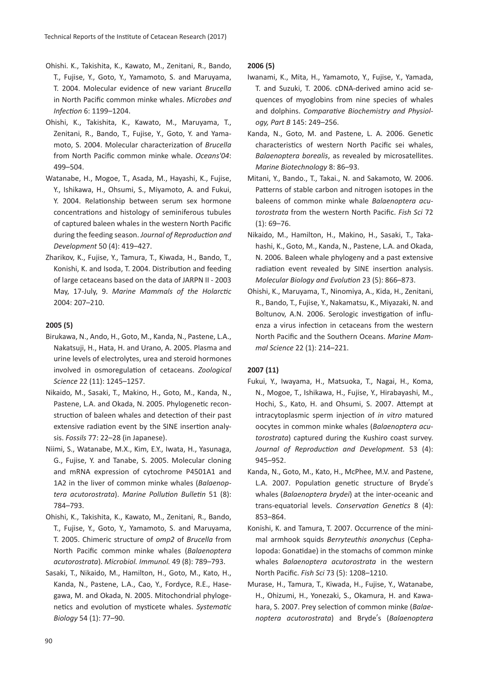- Ohishi. K., Takishita, K., Kawato, M., Zenitani, R., Bando, T., Fujise, Y., Goto, Y., Yamamoto, S. and Maruyama, T. 2004. Molecular evidence of new variant *Brucella* in North Pacific common minke whales. *Microbes and Infection* 6: 1199–1204.
- Ohishi, K., Takishita, K., Kawato, M., Maruyama, T., Zenitani, R., Bando, T., Fujise, Y., Goto, Y. and Yamamoto, S. 2004. Molecular characterization of *Brucella* from North Pacific common minke whale. *Oceans'04*: 499–504.
- Watanabe, H., Mogoe, T., Asada, M., Hayashi, K., Fujise, Y., Ishikawa, H., Ohsumi, S., Miyamoto, A. and Fukui, Y. 2004. Relationship between serum sex hormone concentrations and histology of seminiferous tubules of captured baleen whales in the western North Pacific during the feeding season. *Journal of Reproduction and Development* 50 (4): 419–427.
- Zharikov, K., Fujise, Y., Tamura, T., Kiwada, H., Bando, T., Konishi, K. and Isoda, T. 2004. Distribution and feeding of large cetaceans based on the data of JARPN II - 2003 May, 17-July, 9. *Marine Mammals of the Holarctic* 2004: 207–210.

## **2005 (5)**

- Birukawa, N., Ando, H., Goto, M., Kanda, N., Pastene, L.A., Nakatsuji, H., Hata, H. and Urano, A. 2005. Plasma and urine levels of electrolytes, urea and steroid hormones involved in osmoregulation of cetaceans. *Zoological Science* 22 (11): 1245–1257.
- Nikaido, M., Sasaki, T., Makino, H., Goto, M., Kanda, N., Pastene, L.A. and Okada, N. 2005. Phylogenetic reconstruction of baleen whales and detection of their past extensive radiation event by the SINE insertion analysis. *Fossils* 77: 22–28 (in Japanese).
- Niimi, S., Watanabe, M.X., Kim, E.Y., Iwata, H., Yasunaga, G., Fujise, Y. and Tanabe, S. 2005. Molecular cloning and mRNA expression of cytochrome P4501A1 and 1A2 in the liver of common minke whales (*Balaenoptera acutorostrata*). *Marine Pollution Bulletin* 51 (8): 784–793.
- Ohishi, K., Takishita, K., Kawato, M., Zenitani, R., Bando, T., Fujise, Y., Goto, Y., Yamamoto, S. and Maruyama, T. 2005. Chimeric structure of *omp2* of *Brucella* from North Pacific common minke whales (*Balaenoptera acutorostrata*). *Microbiol. Immunol.* 49 (8): 789–793.
- Sasaki, T., Nikaido, M., Hamilton, H., Goto, M., Kato, H., Kanda, N., Pastene, L.A., Cao, Y., Fordyce, R.E., Hasegawa, M. and Okada, N. 2005. Mitochondrial phylogenetics and evolution of mysticete whales. *Systematic Biology* 54 (1): 77–90.

## **2006 (5)**

- Iwanami, K., Mita, H., Yamamoto, Y., Fujise, Y., Yamada, T. and Suzuki, T. 2006. cDNA-derived amino acid sequences of myoglobins from nine species of whales and dolphins. *Comparative Biochemistry and Physiology, Part B* 145: 249–256.
- Kanda, N., Goto, M. and Pastene, L. A. 2006. Genetic characteristics of western North Pacific sei whales, *Balaenoptera borealis*, as revealed by microsatellites. *Marine Biotechnology* 8: 86–93.
- Mitani, Y., Bando., T., Takai., N. and Sakamoto, W. 2006. Patterns of stable carbon and nitrogen isotopes in the baleens of common minke whale *Balaenoptera acutorostrata* from the western North Pacific. *Fish Sci* 72  $(1): 69 - 76.$
- Nikaido, M., Hamilton, H., Makino, H., Sasaki, T., Takahashi, K., Goto, M., Kanda, N., Pastene, L.A. and Okada, N. 2006. Baleen whale phylogeny and a past extensive radiation event revealed by SINE insertion analysis. *Molecular Biology and Evolution* 23 (5): 866–873.
- Ohishi, K., Maruyama, T., Ninomiya, A., Kida, H., Zenitani, R., Bando, T., Fujise, Y., Nakamatsu, K., Miyazaki, N. and Boltunov, A.N. 2006. Serologic investigation of influenza a virus infection in cetaceans from the western North Pacific and the Southern Oceans. *Marine Mammal Science* 22 (1): 214–221.

## **2007 (11)**

- Fukui, Y., Iwayama, H., Matsuoka, T., Nagai, H., Koma, N., Mogoe, T., Ishikawa, H., Fujise, Y., Hirabayashi, M., Hochi, S., Kato, H. and Ohsumi, S. 2007. Attempt at intracytoplasmic sperm injection of *in vitro* matured oocytes in common minke whales (*Balaenoptera acutorostrata*) captured during the Kushiro coast survey. *Journal of Reproduction and Development.* 53 (4): 945–952.
- Kanda, N., Goto, M., Kato, H., McPhee, M.V. and Pastene, L.A. 2007. Population genetic structure of Bryde's whales (*Balaenoptera brydei*) at the inter-oceanic and trans-equatorial levels. *Conservation Genetics* 8 (4): 853–864.
- Konishi, K. and Tamura, T. 2007. Occurrence of the minimal armhook squids *Berryteuthis anonychus* (Cephalopoda: Gonatidae) in the stomachs of common minke whales *Balaenoptera acutorostrata* in the western North Pacific. *Fish Sci* 73 (5): 1208–1210.
- Murase, H., Tamura, T., Kiwada, H., Fujise, Y., Watanabe, H., Ohizumi, H., Yonezaki, S., Okamura, H. and Kawahara, S. 2007. Prey selection of common minke (*Balaenoptera acutorostrata*) and Bryde's (*Balaenoptera*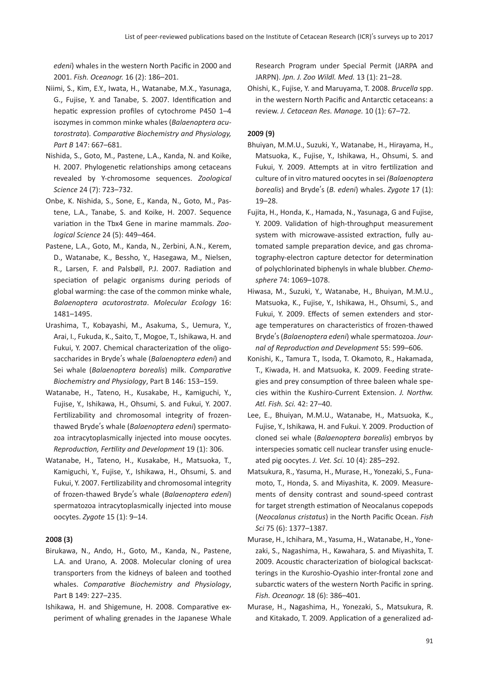*edeni*) whales in the western North Pacific in 2000 and 2001. *Fish. Oceanogr.* 16 (2): 186–201.

- Niimi, S., Kim, E.Y., Iwata, H., Watanabe, M.X., Yasunaga, G., Fujise, Y. and Tanabe, S. 2007. Identification and hepatic expression profiles of cytochrome P450 1–4 isozymes in common minke whales (*Balaenoptera acutorostrata*). *Comparative Biochemistry and Physiology, Part B* 147: 667–681.
- Nishida, S., Goto, M., Pastene, L.A., Kanda, N. and Koike, H. 2007. Phylogenetic relationships among cetaceans revealed by Y-chromosome sequences. *Zoological Science* 24 (7): 723–732.
- Onbe, K. Nishida, S., Sone, E., Kanda, N., Goto, M., Pastene, L.A., Tanabe, S. and Koike, H. 2007. Sequence variation in the Tbx4 Gene in marine mammals. *Zoological Science* 24 (5): 449–464.
- Pastene, L.A., Goto, M., Kanda, N., Zerbini, A.N., Kerem, D., Watanabe, K., Bessho, Y., Hasegawa, M., Nielsen, R., Larsen, F. and Palsbøll, P.J. 2007. Radiation and speciation of pelagic organisms during periods of global warming: the case of the common minke whale, *Balaenoptera acutorostrata*. *Molecular Ecology* 16: 1481–1495.
- Urashima, T., Kobayashi, M., Asakuma, S., Uemura, Y., Arai, I., Fukuda, K., Saito, T., Mogoe, T., Ishikawa, H. and Fukui, Y. 2007. Chemical characterization of the oligosaccharides in Bryde's whale (*Balaenoptera edeni*) and Sei whale (*Balaenoptera borealis*) milk. *Comparative Biochemistry and Physiology*, Part B 146: 153–159.
- Watanabe, H., Tateno, H., Kusakabe, H., Kamiguchi, Y., Fujise, Y., Ishikawa, H., Ohsumi, S. and Fukui, Y. 2007. Fertilizability and chromosomal integrity of frozenthawed Bryde's whale (*Balaenoptera edeni*) spermatozoa intracytoplasmically injected into mouse oocytes. *Reproduction, Fertility and Development* 19 (1): 306.
- Watanabe, H., Tateno, H., Kusakabe, H., Matsuoka, T., Kamiguchi, Y., Fujise, Y., Ishikawa, H., Ohsumi, S. and Fukui, Y. 2007. Fertilizability and chromosomal integrity of frozen-thawed Bryde's whale (*Balaenoptera edeni*) spermatozoa intracytoplasmically injected into mouse oocytes. *Zygote* 15 (1): 9–14.

#### **2008 (3)**

- Birukawa, N., Ando, H., Goto, M., Kanda, N., Pastene, L.A. and Urano, A. 2008. Molecular cloning of urea transporters from the kidneys of baleen and toothed whales. *Comparative Biochemistry and Physiology*, Part B 149: 227–235.
- Ishikawa, H. and Shigemune, H. 2008. Comparative experiment of whaling grenades in the Japanese Whale

Research Program under Special Permit (JARPA and JARPN). *Jpn. J. Zoo Wildl. Med.* 13 (1): 21–28.

Ohishi, K., Fujise, Y. and Maruyama, T. 2008. *Brucella* spp. in the western North Pacific and Antarctic cetaceans: a review. *J. Cetacean Res. Manage.* 10 (1): 67–72.

#### **2009 (9)**

- Bhuiyan, M.M.U., Suzuki, Y., Watanabe, H., Hirayama, H., Matsuoka, K., Fujise, Y., Ishikawa, H., Ohsumi, S. and Fukui, Y. 2009. Attempts at in vitro fertilization and culture of in vitro matured oocytes in sei *(Balaenoptera borealis*) and Bryde's (*B. edeni*) whales. *Zygote* 17 (1): 19–28.
- Fujita, H., Honda, K., Hamada, N., Yasunaga, G and Fujise, Y. 2009. Validation of high-throughput measurement system with microwave-assisted extraction, fully automated sample preparation device, and gas chromatography-electron capture detector for determination of polychlorinated biphenyls in whale blubber. *Chemosphere* 74: 1069–1078.
- Hiwasa, M., Suzuki, Y., Watanabe, H., Bhuiyan, M.M.U., Matsuoka, K., Fujise, Y., Ishikawa, H., Ohsumi, S., and Fukui, Y. 2009. Effects of semen extenders and storage temperatures on characteristics of frozen-thawed Bryde's (*Balaenoptera edeni*) whale spermatozoa. *Journal of Reproduction and Development* 55: 599–606.
- Konishi, K., Tamura T., Isoda, T. Okamoto, R., Hakamada, T., Kiwada, H. and Matsuoka, K. 2009. Feeding strategies and prey consumption of three baleen whale species within the Kushiro-Current Extension. *J. Northw. Atl. Fish. Sci.* 42: 27–40.
- Lee, E., Bhuiyan, M.M.U., Watanabe, H., Matsuoka, K., Fujise, Y., Ishikawa, H. and Fukui. Y. 2009. Production of cloned sei whale (*Balaenoptera borealis*) embryos by interspecies somatic cell nuclear transfer using enucleated pig oocytes. *J. Vet. Sci.* 10 (4): 285–292.
- Matsukura, R., Yasuma, H., Murase, H., Yonezaki, S., Funamoto, T., Honda, S. and Miyashita, K. 2009. Measurements of density contrast and sound-speed contrast for target strength estimation of Neocalanus copepods (*Neocalanus cristatus*) in the North Pacific Ocean. *Fish Sci* 75 (6): 1377–1387.
- Murase, H., Ichihara, M., Yasuma, H., Watanabe, H., Yonezaki, S., Nagashima, H., Kawahara, S. and Miyashita, T. 2009. Acoustic characterization of biological backscatterings in the Kuroshio-Oyashio inter-frontal zone and subarctic waters of the western North Pacific in spring. *Fish. Oceanogr.* 18 (6): 386–401.
- Murase, H., Nagashima, H., Yonezaki, S., Matsukura, R. and Kitakado, T. 2009. Application of a generalized ad-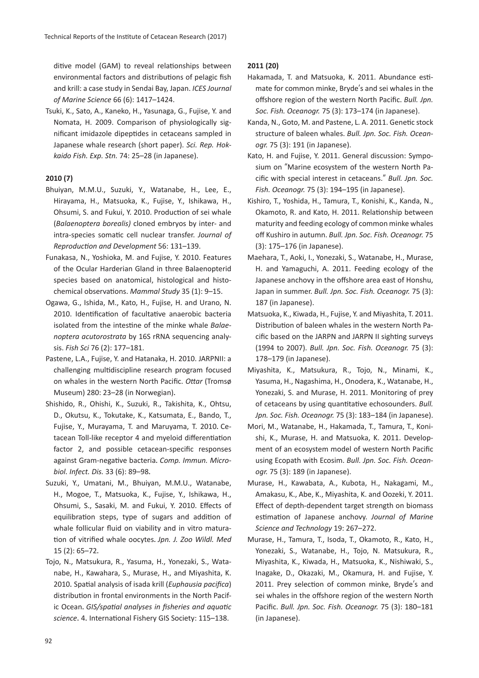ditive model (GAM) to reveal relationships between environmental factors and distributions of pelagic fish and krill: a case study in Sendai Bay, Japan. *ICES Journal of Marine Science* 66 (6): 1417–1424.

Tsuki, K., Sato, A., Kaneko, H., Yasunaga, G., Fujise, Y. and Nomata, H. 2009. Comparison of physiologically significant imidazole dipeptides in cetaceans sampled in Japanese whale research (short paper). *Sci. Rep. Hokkaido Fish. Exp. Stn.* 74: 25–28 (in Japanese).

# **2010 (7)**

- Bhuiyan, M.M.U., Suzuki, Y., Watanabe, H., Lee, E., Hirayama, H., Matsuoka, K., Fujise, Y., Ishikawa, H., Ohsumi, S. and Fukui, Y. 2010. Production of sei whale (*Balaenoptera borealis)* cloned embryos by inter- and intra-species somatic cell nuclear transfer. *Journal of Reproduction and Development* 56: 131–139.
- Funakasa, N., Yoshioka, M. and Fujise, Y. 2010. Features of the Ocular Harderian Gland in three Balaenopterid species based on anatomical, histological and histochemical observations. *Mammal Study* 35 (1): 9–15.
- Ogawa, G., Ishida, M., Kato, H., Fujise, H. and Urano, N. 2010. Identification of facultative anaerobic bacteria isolated from the intestine of the minke whale *Balaenoptera acutorostrata* by 16S rRNA sequencing analysis. *Fish Sci* 76 (2): 177–181.
- Pastene, L.A., Fujise, Y. and Hatanaka, H. 2010. JARPNII: a challenging multidiscipline research program focused on whales in the western North Pacific. *Ottar* (Tromsø Museum) 280: 23–28 (in Norwegian).
- Shishido, R., Ohishi, K., Suzuki, R., Takishita, K., Ohtsu, D., Okutsu, K., Tokutake, K., Katsumata, E., Bando, T., Fujise, Y., Murayama, T. and Maruyama, T. 2010. Cetacean Toll-like receptor 4 and myeloid differentiation factor 2, and possible cetacean-specific responses against Gram-negative bacteria.*Comp. Immun. Microbiol. Infect. Dis.* 33 (6): 89–98.
- Suzuki, Y., Umatani, M., Bhuiyan, M.M.U., Watanabe, H., Mogoe, T., Matsuoka, K., Fujise, Y., Ishikawa, H., Ohsumi, S., Sasaki, M. and Fukui, Y. 2010. Effects of equilibration steps, type of sugars and addition of whale follicular fluid on viability and in vitro maturation of vitrified whale oocytes.*Jpn. J. Zoo Wildl. Med* 15 (2): 65–72.
- Tojo, N., Matsukura, R., Yasuma, H., Yonezaki, S., Watanabe, H., Kawahara, S., Murase, H., and Miyashita, K. 2010.Spatial analysis of isada krill (*Euphausia pacifica*) distribution in frontal environments in the North Pacific Ocean.*GIS/spatial analyses in fisheries and aquatic science*.4.International Fishery GIS Society: 115–138.

# **2011 (20)**

- Hakamada, T. and Matsuoka, K. 2011. Abundance estimate for common minke, Bryde's and sei whales in the offshore region of the western North Pacific. *Bull. Jpn. Soc. Fish. Oceanogr.* 75 (3): 173–174 (in Japanese).
- Kanda, N., Goto, M. and Pastene, L. A. 2011. Genetic stock structure of baleen whales. *Bull. Jpn. Soc. Fish. Oceanogr.* 75 (3): 191 (in Japanese).
- Kato, H. and Fujise, Y. 2011. General discussion: Symposium on "Marine ecosystem of the western North Pacific with special interest in cetaceans." *Bull. Jpn. Soc. Fish. Oceanogr.* 75 (3): 194–195 (in Japanese).
- Kishiro, T., Yoshida, H., Tamura, T., Konishi, K., Kanda, N., Okamoto, R. and Kato, H. 2011. Relationship between maturity and feeding ecology of common minke whales off Kushiro in autumn. *Bull. Jpn. Soc. Fish. Oceanogr.* 75 (3): 175–176 (in Japanese).
- Maehara, T., Aoki, I., Yonezaki, S., Watanabe, H., Murase, H. and Yamaguchi, A. 2011. Feeding ecology of the Japanese anchovy in the offshore area east of Honshu, Japan in summer. *Bull. Jpn. Soc. Fish. Oceanogr.* 75 (3): 187 (in Japanese).
- Matsuoka, K., Kiwada, H., Fujise, Y. and Miyashita, T. 2011. Distribution of baleen whales in the western North Pacific based on the JARPN and JARPN II sighting surveys (1994 to 2007). *Bull. Jpn. Soc. Fish. Oceanogr.* 75 (3): 178–179 (in Japanese).
- Miyashita, K., Matsukura, R., Tojo, N., Minami, K., Yasuma, H., Nagashima, H., Onodera, K., Watanabe, H., Yonezaki, S. and Murase, H. 2011. Monitoring of prey of cetaceans by using quantitative echosounders. *Bull. Jpn. Soc. Fish. Oceanogr.* 75 (3): 183–184 (in Japanese).
- Mori, M., Watanabe, H., Hakamada, T., Tamura, T., Konishi, K., Murase, H. and Matsuoka, K. 2011. Development of an ecosystem model of western North Pacific using Ecopath with Ecosim. *Bull. Jpn. Soc. Fish. Oceanogr.* 75 (3): 189 (in Japanese).
- Murase, H., Kawabata, A., Kubota, H., Nakagami, M., Amakasu, K., Abe, K., Miyashita, K. and Oozeki, Y. 2011. Effect of depth-dependent target strength on biomass estimation of Japanese anchovy. *Journal of Marine Science and Technology* 19: 267–272.
- Murase, H., Tamura, T., Isoda, T., Okamoto, R., Kato, H., Yonezaki, S., Watanabe, H., Tojo, N. Matsukura, R., Miyashita, K., Kiwada, H., Matsuoka, K., Nishiwaki, S., Inagake, D., Okazaki, M., Okamura, H. and Fujise, Y. 2011. Prey selection of common minke, Bryde's and sei whales in the offshore region of the western North Pacific. *Bull. Jpn. Soc. Fish. Oceanogr.* 75 (3): 180–181 (in Japanese).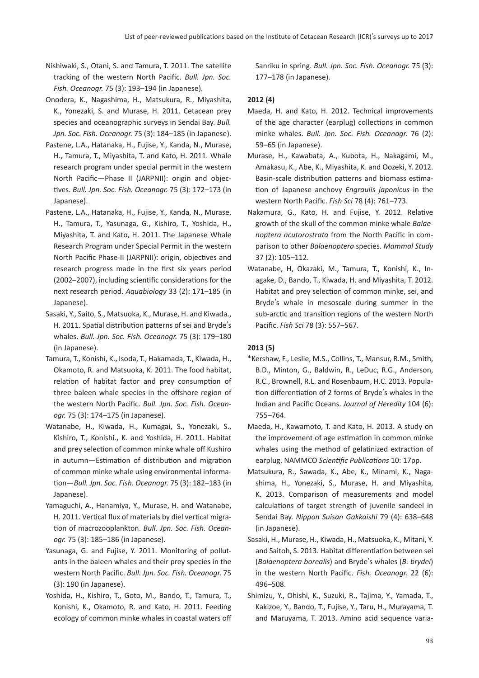- Nishiwaki, S., Otani, S. and Tamura, T. 2011. The satellite tracking of the western North Pacific. *Bull. Jpn. Soc. Fish. Oceanogr.* 75 (3): 193–194 (in Japanese).
- Onodera, K., Nagashima, H., Matsukura, R., Miyashita, K., Yonezaki, S. and Murase, H. 2011. Cetacean prey species and oceanographic surveys in Sendai Bay. *Bull. Jpn. Soc. Fish. Oceanogr.* 75 (3): 184–185 (in Japanese).
- Pastene, L.A., Hatanaka, H., Fujise, Y., Kanda, N., Murase, H., Tamura, T., Miyashita, T. and Kato, H. 2011. Whale research program under special permit in the western North Pacific—Phase II (JARPNII): origin and objectives. *Bull. Jpn. Soc. Fish. Oceanogr.* 75 (3): 172–173 (in Japanese).
- Pastene, L.A., Hatanaka, H., Fujise, Y., Kanda, N., Murase, H., Tamura, T., Yasunaga, G., Kishiro, T., Yoshida, H., Miyashita, T. and Kato, H. 2011. The Japanese Whale Research Program under Special Permit in the western North Pacific Phase-II (JARPNII): origin, objectives and research progress made in the first six years period (2002–2007), including scientific considerations for the next research period. *Aquabiology* 33 (2): 171–185 (in Japanese).
- Sasaki, Y., Saito, S., Matsuoka, K., Murase, H. and Kiwada., H. 2011. Spatial distribution patterns of sei and Bryde's whales. *Bull. Jpn. Soc. Fish. Oceanogr.* 75 (3): 179–180 (in Japanese).
- Tamura, T., Konishi, K., Isoda, T., Hakamada, T., Kiwada, H., Okamoto, R. and Matsuoka, K. 2011. The food habitat, relation of habitat factor and prey consumption of three baleen whale species in the offshore region of the western North Pacific. *Bull. Jpn. Soc. Fish. Oceanogr.* 75 (3): 174–175 (in Japanese).
- Watanabe, H., Kiwada, H., Kumagai, S., Yonezaki, S., Kishiro, T., Konishi., K. and Yoshida, H. 2011. Habitat and prey selection of common minke whale off Kushiro in autumn—Estimation of distribution and migration of common minke whale using environmental information—*Bull. Jpn. Soc. Fish. Oceanogr.* 75 (3): 182–183 (in Japanese).
- Yamaguchi, A., Hanamiya, Y., Murase, H. and Watanabe, H. 2011. Vertical flux of materials by diel vertical migration of macrozooplankton. *Bull. Jpn. Soc. Fish. Oceanogr.* 75 (3): 185–186 (in Japanese).
- Yasunaga, G. and Fujise, Y. 2011. Monitoring of pollutants in the baleen whales and their prey species in the western North Pacific. *Bull. Jpn. Soc. Fish. Oceanogr.* 75 (3): 190 (in Japanese).
- Yoshida, H., Kishiro, T., Goto, M., Bando, T., Tamura, T., Konishi, K., Okamoto, R. and Kato, H. 2011. Feeding ecology of common minke whales in coastal waters off

Sanriku in spring. *Bull. Jpn. Soc. Fish. Oceanogr.* 75 (3): 177–178 (in Japanese).

# **2012 (4)**

- Maeda, H. and Kato, H. 2012. Technical improvements of the age character (earplug) collections in common minke whales. *Bull. Jpn. Soc. Fish. Oceanogr.* 76 (2): 59–65 (in Japanese).
- Murase, H., Kawabata, A., Kubota, H., Nakagami, M., Amakasu, K., Abe, K., Miyashita, K. and Oozeki, Y. 2012. Basin-scale distribution patterns and biomass estimation of Japanese anchovy *Engraulis japonicus* in the western North Pacific. *Fish Sci* 78 (4): 761–773.
- Nakamura, G., Kato, H. and Fujise, Y. 2012. Relative growth of the skull of the common minke whale *Balaenoptera acutorostrata* from the North Pacific in comparison to other *Balaenoptera* species. *Mammal Study* 37 (2): 105–112.
- Watanabe, H, Okazaki, M., Tamura, T., Konishi, K., Inagake, D., Bando, T., Kiwada, H. and Miyashita, T. 2012. Habitat and prey selection of common minke, sei, and Bryde's whale in mesoscale during summer in the sub-arctic and transition regions of the western North Pacific. *Fish Sci* 78 (3): 557–567.

# **2013 (5)**

- \*Kershaw, F., Leslie, M.S., Collins, T., Mansur, R.M., Smith, B.D., Minton, G., Baldwin, R., LeDuc, R.G., Anderson, R.C., Brownell, R.L. and Rosenbaum, H.C. 2013. Population differentiation of 2 forms of Bryde's whales in the Indian and Pacific Oceans. *Journal of Heredity* 104 (6): 755–764.
- Maeda, H., Kawamoto, T. and Kato, H. 2013. A study on the improvement of age estimation in common minke whales using the method of gelatinized extraction of earplug. NAMMCO *Scientific Publications* 10: 17pp.
- Matsukura, R., Sawada, K., Abe, K., Minami, K., Nagashima, H., Yonezaki, S., Murase, H. and Miyashita, K. 2013. Comparison of measurements and model calculations of target strength of juvenile sandeel in Sendai Bay. *Nippon Suisan Gakkaishi* 79 (4): 638–648 (in Japanese).
- Sasaki, H., Murase, H., Kiwada, H., Matsuoka, K., Mitani, Y. and Saitoh, S. 2013. Habitat differentiation between sei (*Balaenoptera borealis*) and Bryde's whales (*B. brydei*) in the western North Pacific. *Fish. Oceanogr.* 22 (6): 496–508.
- Shimizu, Y., Ohishi, K., Suzuki, R., Tajima, Y., Yamada, T., Kakizoe, Y., Bando, T., Fujise, Y., Taru, H., Murayama, T. and Maruyama, T. 2013. Amino acid sequence varia-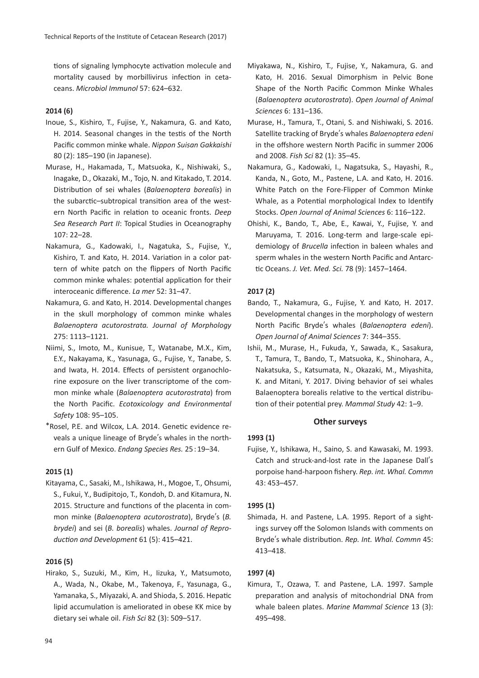tions of signaling lymphocyte activation molecule and mortality caused by morbillivirus infection in cetaceans. *Microbiol Immunol* 57: 624–632.

## **2014 (6)**

- Inoue, S., Kishiro, T., Fujise, Y., Nakamura, G. and Kato, H. 2014. Seasonal changes in the testis of the North Pacific common minke whale. *Nippon Suisan Gakkaishi* 80 (2): 185–190 (in Japanese).
- Murase, H., Hakamada, T., Matsuoka, K., Nishiwaki, S., Inagake, D., Okazaki, M., Tojo, N. and Kitakado, T. 2014. Distribution of sei whales (*Balaenoptera borealis*) in the subarctic–subtropical transition area of the western North Pacific in relation to oceanic fronts. *Deep Sea Research Part II*: Topical Studies in Oceanography 107: 22–28.
- Nakamura, G., Kadowaki, I., Nagatuka, S., Fujise, Y., Kishiro, T. and Kato, H. 2014. Variation in a color pattern of white patch on the flippers of North Pacific common minke whales: potential application for their interoceanic difference. *La mer* 52: 31–47.
- Nakamura, G. and Kato, H. 2014. Developmental changes in the skull morphology of common minke whales *Balaenoptera acutorostrata. Journal of Morphology* 275: 1113–1121.
- Niimi, S., Imoto, M., Kunisue, T., Watanabe, M.X., Kim, E.Y., Nakayama, K., Yasunaga, G., Fujise, Y., Tanabe, S. and Iwata, H. 2014. Effects of persistent organochlorine exposure on the liver transcriptome of the common minke whale (*Balaenoptera acutorostrata*) from the North Pacific. *Ecotoxicology and Environmental Safety* 108: 95–105.
- \*Rosel, P.E. and Wilcox, L.A. 2014. Genetic evidence reveals a unique lineage of Bryde's whales in the northern Gulf of Mexico. *Endang Species Res.* 25 : 19–34.

## **2015 (1)**

Kitayama, C., Sasaki, M., Ishikawa, H., Mogoe, T., Ohsumi, S., Fukui, Y., Budipitojo, T., Kondoh, D. and Kitamura, N. 2015. Structure and functions of the placenta in common minke (*Balaenoptera acutorostrata*), Bryde's (*B. brydei*) and sei (*B. borealis*) whales. *Journal of Reproduction and Development* 61 (5): 415–421.

## **2016 (5)**

Hirako, S., Suzuki, M., Kim, H., Iizuka, Y., Matsumoto, A., Wada, N., Okabe, M., Takenoya, F., Yasunaga, G., Yamanaka, S., Miyazaki, A. and Shioda, S. 2016. Hepatic lipid accumulation is ameliorated in obese KK mice by dietary sei whale oil. *Fish Sci* 82 (3): 509–517.

- Miyakawa, N., Kishiro, T., Fujise, Y., Nakamura, G. and Kato, H. 2016. Sexual Dimorphism in Pelvic Bone Shape of the North Pacific Common Minke Whales (*Balaenoptera acutorostrata*). *Open Journal of Animal Sciences* 6: 131–136.
- Murase, H., Tamura, T., Otani, S. and Nishiwaki, S. 2016. Satellite tracking of Bryde's whales *Balaenoptera edeni* in the offshore western North Pacific in summer 2006 and 2008. *Fish Sci* 82 (1): 35–45.
- Nakamura, G., Kadowaki, I., Nagatsuka, S., Hayashi, R., Kanda, N., Goto, M., Pastene, L.A. and Kato, H. 2016. White Patch on the Fore-Flipper of Common Minke Whale, as a Potential morphological Index to Identify Stocks. *Open Journal of Animal Sciences* 6: 116–122.
- Ohishi, K., Bando, T., Abe, E., Kawai, Y., Fujise, Y. and Maruyama, T. 2016. Long-term and large-scale epidemiology of *Brucella* infection in baleen whales and sperm whales in the western North Pacific and Antarctic Oceans. *J. Vet. Med. Sci.* 78 (9): 1457–1464.

#### **2017 (2)**

- Bando, T., Nakamura, G., Fujise, Y. and Kato, H. 2017. Developmental changes in the morphology of western North Pacific Bryde's whales (*Balaenoptera edeni*). *Open Journal of Animal Sciences* 7: 344–355.
- Ishii, M., Murase, H., Fukuda, Y., Sawada, K., Sasakura, T., Tamura, T., Bando, T., Matsuoka, K., Shinohara, A., Nakatsuka, S., Katsumata, N., Okazaki, M., Miyashita, K. and Mitani, Y. 2017. Diving behavior of sei whales Balaenoptera borealis relative to the vertical distribution of their potential prey. *Mammal Study* 42: 1–9.

## **Other surveys**

#### **1993 (1)**

Fujise, Y., Ishikawa, H., Saino, S. and Kawasaki, M. 1993. Catch and struck-and-lost rate in the Japanese Dall's porpoise hand-harpoon fishery. *Rep. int. Whal. Commn* 43: 453–457.

## **1995 (1)**

Shimada, H. and Pastene, L.A. 1995. Report of a sightings survey off the Solomon Islands with comments on Bryde's whale distribution. *Rep. Int. Whal. Commn* 45: 413–418.

## **1997 (4)**

Kimura, T., Ozawa, T. and Pastene, L.A. 1997. Sample preparation and analysis of mitochondrial DNA from whale baleen plates. *Marine Mammal Science* 13 (3): 495–498.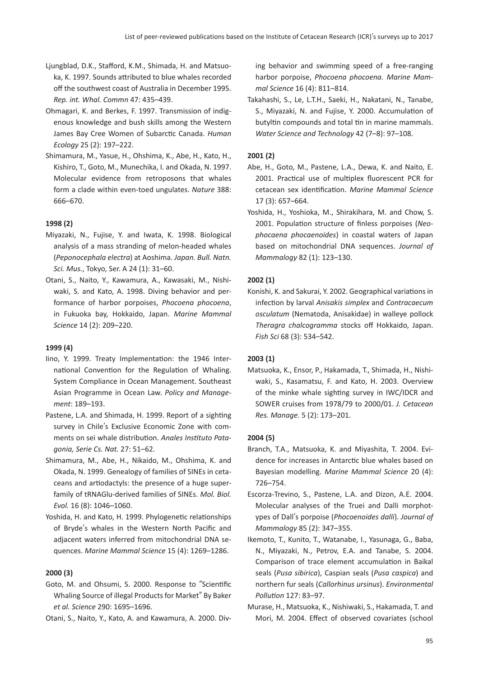- Ljungblad, D.K., Stafford, K.M., Shimada, H. and Matsuoka, K. 1997. Sounds attributed to blue whales recorded off the southwest coast of Australia in December 1995. *Rep. int. Whal. Commn* 47: 435–439.
- Ohmagari, K. and Berkes, F. 1997. Transmission of indigenous knowledge and bush skills among the Western James Bay Cree Women of Subarctic Canada. *Human Ecology* 25 (2): 197–222.
- Shimamura, M., Yasue, H., Ohshima, K., Abe, H., Kato, H., Kishiro, T., Goto, M., Munechika, I. and Okada, N. 1997. Molecular evidence from retroposons that whales form a clade within even-toed ungulates. *Nature* 388: 666–670.

## **1998 (2)**

- Miyazaki, N., Fujise, Y. and Iwata, K. 1998. Biological analysis of a mass stranding of melon-headed whales (*Peponocephala electra*) at Aoshima. *Japan. Bull. Natn. Sci. Mus.*, Tokyo, Ser. A 24 (1): 31–60.
- Otani, S., Naito, Y., Kawamura, A., Kawasaki, M., Nishiwaki, S. and Kato, A. 1998. Diving behavior and performance of harbor porpoises, *Phocoena phocoena*, in Fukuoka bay, Hokkaido, Japan. *Marine Mammal Science* 14 (2): 209–220.

## **1999 (4)**

- Iino, Y. 1999. Treaty Implementation: the 1946 International Convention for the Regulation of Whaling. System Compliance in Ocean Management. Southeast Asian Programme in Ocean Law. *Policy and Management*: 189–193.
- Pastene, L.A. and Shimada, H. 1999. Report of a sighting survey in Chile's Exclusive Economic Zone with comments on sei whale distribution. *Anales Instituto Patagonia, Serie Cs. Nat.* 27: 51–62.
- Shimamura, M., Abe, H., Nikaido, M., Ohshima, K. and Okada, N. 1999. Genealogy of families of SINEs in cetaceans and artiodactyls: the presence of a huge superfamily of tRNAGlu-derived families of SINEs. *Mol. Biol. Evol.* 16 (8): 1046–1060.
- Yoshida, H. and Kato, H. 1999. Phylogenetic relationships of Bryde's whales in the Western North Pacific and adjacent waters inferred from mitochondrial DNA sequences. *Marine Mammal Science* 15 (4): 1269–1286.

## **2000 (3)**

Goto, M. and Ohsumi, S. 2000. Response to "Scientific Whaling Source of illegal Products for Market" By Baker *et al. Science* 290: 1695–1696.

Otani, S., Naito, Y., Kato, A. and Kawamura, A. 2000. Div-

ing behavior and swimming speed of a free-ranging harbor porpoise, *Phocoena phocoena. Marine Mammal Science* 16 (4): 811–814.

Takahashi, S., Le, L.T.H., Saeki, H., Nakatani, N., Tanabe, S., Miyazaki, N. and Fujise, Y. 2000. Accumulation of butyltin compounds and total tin in marine mammals. *Water Science and Technology* 42 (7–8): 97–108.

## **2001 (2)**

- Abe, H., Goto, M., Pastene, L.A., Dewa, K. and Naito, E. 2001. Practical use of multiplex fluorescent PCR for cetacean sex identification. *Marine Mammal Science* 17 (3): 657–664.
- Yoshida, H., Yoshioka, M., Shirakihara, M. and Chow, S. 2001. Population structure of finless porpoises (*Neophocaena phocaenoides*) in coastal waters of Japan based on mitochondrial DNA sequences. *Journal of Mammalogy* 82 (1): 123–130.

## **2002 (1)**

Konishi, K. and Sakurai, Y. 2002. Geographical variations in infection by larval *Anisakis simplex* and *Contracaecum osculatum* (Nematoda, Anisakidae) in walleye pollock *Theragra chalcogramma* stocks off Hokkaido, Japan. *Fish Sci* 68 (3): 534–542.

## **2003 (1)**

Matsuoka, K., Ensor, P., Hakamada, T., Shimada, H., Nishiwaki, S., Kasamatsu, F. and Kato, H. 2003. Overview of the minke whale sighting survey in IWC/IDCR and SOWER cruises from 1978/79 to 2000/01. *J. Cetacean Res. Manage.* 5 (2): 173–201.

## **2004 (5)**

- Branch, T.A., Matsuoka, K. and Miyashita, T. 2004. Evidence for increases in Antarctic blue whales based on Bayesian modelling. *Marine Mammal Science* 20 (4): 726–754.
- Escorza-Trevino, S., Pastene, L.A. and Dizon, A.E. 2004. Molecular analyses of the Truei and Dalli morphotypes of Dall's porpoise (*Phocoenoides dalli*). *Journal of Mammalogy* 85 (2): 347–355.
- Ikemoto, T., Kunito, T., Watanabe, I., Yasunaga, G., Baba, N., Miyazaki, N., Petrov, E.A. and Tanabe, S. 2004. Comparison of trace element accumulation in Baikal seals (*Pusa sibirica*), Caspian seals (*Pusa caspica*) and northern fur seals (*Callorhinus ursinus*). *Environmental Pollution* 127: 83–97.
- Murase, H., Matsuoka, K., Nishiwaki, S., Hakamada, T. and Mori, M. 2004. Effect of observed covariates (school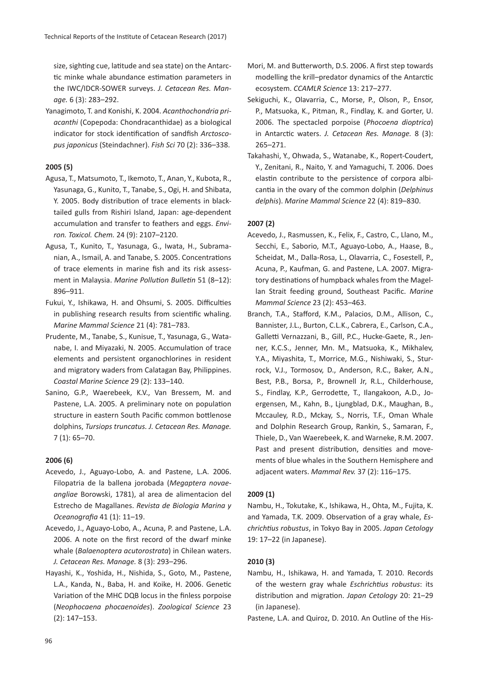size, sighting cue, latitude and sea state) on the Antarctic minke whale abundance estimation parameters in the IWC/IDCR-SOWER surveys. *J. Cetacean Res. Manage.* 6 (3): 283–292.

Yanagimoto, T. and Konishi, K. 2004. *Acanthochondria priacanthi* (Copepoda: Chondracanthidae) as a biological indicator for stock identification of sandfish *Arctoscopus japonicus* (Steindachner). *Fish Sci* 70 (2): 336–338.

## **2005 (5)**

- Agusa, T., Matsumoto, T., Ikemoto, T., Anan, Y., Kubota, R., Yasunaga, G., Kunito, T., Tanabe, S., Ogi, H. and Shibata, Y. 2005. Body distribution of trace elements in blacktailed gulls from Rishiri Island, Japan: age-dependent accumulation and transfer to feathers and eggs. *Environ. Toxicol. Chem.* 24 (9): 2107–2120.
- Agusa, T., Kunito, T., Yasunaga, G., Iwata, H., Subramanian, A., Ismail, A. and Tanabe, S. 2005. Concentrations of trace elements in marine fish and its risk assessment in Malaysia. *Marine Pollution Bulletin* 51 (8–12): 896–911.
- Fukui, Y., Ishikawa, H. and Ohsumi, S. 2005. Difficulties in publishing research results from scientific whaling. *Marine Mammal Science* 21 (4): 781–783.
- Prudente, M., Tanabe, S., Kunisue, T., Yasunaga, G., Watanabe, I. and Miyazaki, N. 2005. Accumulation of trace elements and persistent organochlorines in resident and migratory waders from Calatagan Bay, Philippines. *Coastal Marine Science* 29 (2): 133–140.
- Sanino, G.P., Waerebeek, K.V., Van Bressem, M. and Pastene, L.A. 2005. A preliminary note on population structure in eastern South Pacific common bottlenose dolphins, *Tursiops truncatus. J. Cetacean Res. Manage.* 7 (1): 65–70.

# **2006 (6)**

- Acevedo, J., Aguayo-Lobo, A. and Pastene, L.A. 2006. Filopatria de la ballena jorobada (*Megaptera novaeangliae* Borowski, 1781), al area de alimentacion del Estrecho de Magallanes. *Revista de Biologia Marina y Oceanografia* 41 (1): 11–19.
- Acevedo, J., Aguayo-Lobo, A., Acuna, P. and Pastene, L.A. 2006. A note on the first record of the dwarf minke whale (*Balaenoptera acutorostrata*) in Chilean waters. *J. Cetacean Res. Manage.* 8 (3): 293–296.
- Hayashi, K., Yoshida, H., Nishida, S., Goto, M., Pastene, L.A., Kanda, N., Baba, H. and Koike, H. 2006. Genetic Variation of the MHC DQB locus in the finless porpoise (*Neophocaena phocaenoides*). *Zoological Science* 23 (2): 147–153.
- Mori, M. and Butterworth, D.S. 2006. A first step towards modelling the krill–predator dynamics of the Antarctic ecosystem. *CCAMLR Science* 13: 217–277.
- Sekiguchi, K., Olavarria, C., Morse, P., Olson, P., Ensor, P., Matsuoka, K., Pitman, R., Findlay, K. and Gorter, U. 2006. The spectacled porpoise (*Phocoena dioptrica*) in Antarctic waters. *J. Cetacean Res. Manage.* 8 (3): 265–271.
- Takahashi, Y., Ohwada, S., Watanabe, K., Ropert-Coudert, Y., Zenitani, R., Naito, Y. and Yamaguchi, T. 2006. Does elastin contribute to the persistence of corpora albicantia in the ovary of the common dolphin (*Delphinus delphis*). *Marine Mammal Science* 22 (4): 819–830.

## **2007 (2)**

- Acevedo, J., Rasmussen, K., Felix, F., Castro, C., Llano, M., Secchi, E., Saborio, M.T., Aguayo-Lobo, A., Haase, B., Scheidat, M., Dalla-Rosa, L., Olavarria, C., Fosestell, P., Acuna, P., Kaufman, G. and Pastene, L.A. 2007. Migratory destinations of humpback whales from the Magellan Strait feeding ground, Southeast Pacific. *Marine Mammal Science* 23 (2): 453–463.
- Branch, T.A., Stafford, K.M., Palacios, D.M., Allison, C., Bannister, J.L., Burton, C.L.K., Cabrera, E., Carlson, C.A., Galletti Vernazzani, B., Gill, P.C., Hucke-Gaete, R., Jenner, K.C.S., Jenner, Mn. M., Matsuoka, K., Mikhalev, Y.A., Miyashita, T., Morrice, M.G., Nishiwaki, S., Sturrock, V.J., Tormosov, D., Anderson, R.C., Baker, A.N., Best, P.B., Borsa, P., Brownell Jr, R.L., Childerhouse, S., Findlay, K.P., Gerrodette, T., Ilangakoon, A.D., Joergensen, M., Kahn, B., Ljungblad, D.K., Maughan, B., Mccauley, R.D., Mckay, S., Norris, T.F., Oman Whale and Dolphin Research Group, Rankin, S., Samaran, F., Thiele, D., Van Waerebeek, K. and Warneke, R.M. 2007. Past and present distribution, densities and movements of blue whales in the Southern Hemisphere and adjacent waters. *Mammal Rev.* 37 (2): 116–175.

## **2009 (1)**

Nambu, H., Tokutake, K., Ishikawa, H., Ohta, M., Fujita, K. and Yamada, T.K. 2009. Observation of a gray whale, *Eschrichtius robustus*, in Tokyo Bay in 2005. *Japan Cetology* 19: 17–22 (in Japanese).

## **2010 (3)**

- Nambu, H., Ishikawa, H. and Yamada, T. 2010. Records of the western gray whale *Eschrichtius robustus*: its distribution and migration. *Japan Cetology* 20: 21–29 (in Japanese).
- Pastene, L.A. and Quiroz, D. 2010. An Outline of the His-